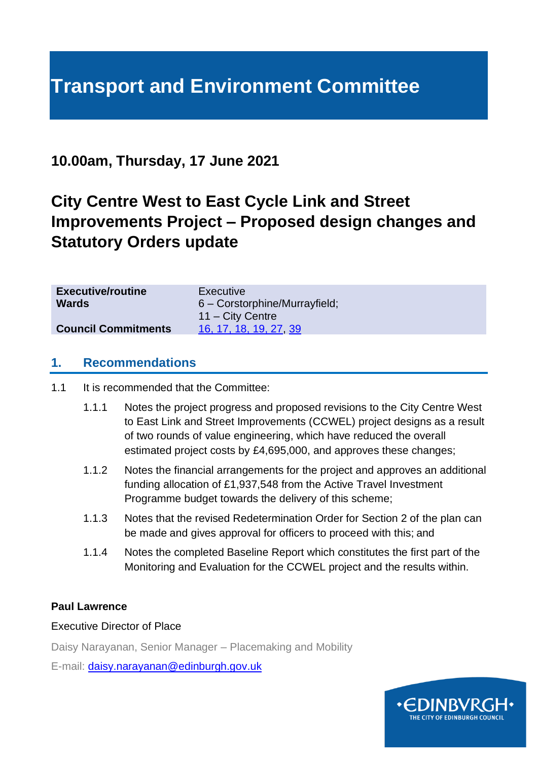# **Transport and Environment Committee**

## **10.00am, Thursday, 17 June 2021**

## **City Centre West to East Cycle Link and Street Improvements Project – Proposed design changes and Statutory Orders update**

| <b>Executive/routine</b>   | Executive                                    |
|----------------------------|----------------------------------------------|
| <b>Wards</b>               | $6 -$ Corstorphine/Murrayfield;              |
| <b>Council Commitments</b> | $11 - City$ Centre<br>16, 17, 18, 19, 27, 39 |

#### **1. Recommendations**

1.1 It is recommended that the Committee:

- 1.1.1 Notes the project progress and proposed revisions to the City Centre West to East Link and Street Improvements (CCWEL) project designs as a result of two rounds of value engineering, which have reduced the overall estimated project costs by £4,695,000, and approves these changes;
- 1.1.2 Notes the financial arrangements for the project and approves an additional funding allocation of £1,937,548 from the Active Travel Investment Programme budget towards the delivery of this scheme;
- 1.1.3 Notes that the revised Redetermination Order for Section 2 of the plan can be made and gives approval for officers to proceed with this; and
- 1.1.4 Notes the completed Baseline Report which constitutes the first part of the Monitoring and Evaluation for the CCWEL project and the results within.

#### **Paul Lawrence**

#### Executive Director of Place

Daisy Narayanan, Senior Manager – Placemaking and Mobility

E-mail: [daisy.narayanan@edinburgh.gov.uk](mailto:daisy.narayanan@edinburgh.gov.uk)

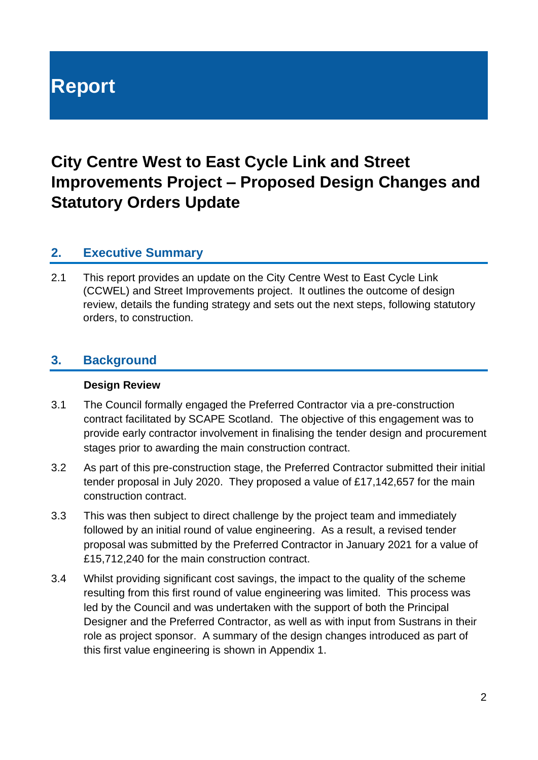# **Report**

## **City Centre West to East Cycle Link and Street Improvements Project – Proposed Design Changes and Statutory Orders Update**

## **2. Executive Summary**

2.1 This report provides an update on the City Centre West to East Cycle Link (CCWEL) and Street Improvements project. It outlines the outcome of design review, details the funding strategy and sets out the next steps, following statutory orders, to construction.

## **3. Background**

#### **Design Review**

- 3.1 The Council formally engaged the Preferred Contractor via a pre-construction contract facilitated by SCAPE Scotland. The objective of this engagement was to provide early contractor involvement in finalising the tender design and procurement stages prior to awarding the main construction contract.
- 3.2 As part of this pre-construction stage, the Preferred Contractor submitted their initial tender proposal in July 2020. They proposed a value of £17,142,657 for the main construction contract.
- 3.3 This was then subject to direct challenge by the project team and immediately followed by an initial round of value engineering. As a result, a revised tender proposal was submitted by the Preferred Contractor in January 2021 for a value of £15,712,240 for the main construction contract.
- 3.4 Whilst providing significant cost savings, the impact to the quality of the scheme resulting from this first round of value engineering was limited. This process was led by the Council and was undertaken with the support of both the Principal Designer and the Preferred Contractor, as well as with input from Sustrans in their role as project sponsor. A summary of the design changes introduced as part of this first value engineering is shown in Appendix 1.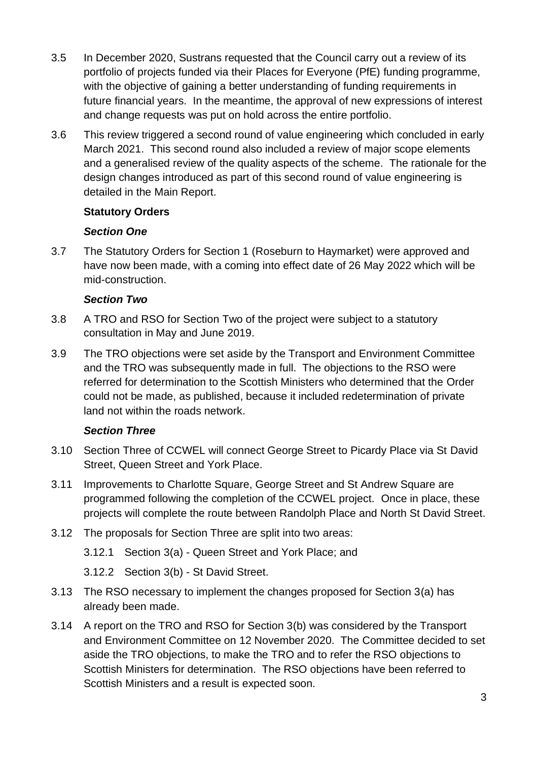- 3.5 In December 2020, Sustrans requested that the Council carry out a review of its portfolio of projects funded via their Places for Everyone (PfE) funding programme, with the objective of gaining a better understanding of funding requirements in future financial years. In the meantime, the approval of new expressions of interest and change requests was put on hold across the entire portfolio.
- 3.6 This review triggered a second round of value engineering which concluded in early March 2021. This second round also included a review of major scope elements and a generalised review of the quality aspects of the scheme. The rationale for the design changes introduced as part of this second round of value engineering is detailed in the Main Report.

#### **Statutory Orders**

### *Section One*

3.7 The Statutory Orders for Section 1 (Roseburn to Haymarket) were approved and have now been made, with a coming into effect date of 26 May 2022 which will be mid-construction.

#### *Section Two*

- 3.8 A TRO and RSO for Section Two of the project were subject to a statutory consultation in May and June 2019.
- 3.9 The TRO objections were set aside by the Transport and Environment Committee and the TRO was subsequently made in full. The objections to the RSO were referred for determination to the Scottish Ministers who determined that the Order could not be made, as published, because it included redetermination of private land not within the roads network.

#### *Section Three*

- 3.10 Section Three of CCWEL will connect George Street to Picardy Place via St David Street, Queen Street and York Place.
- 3.11 Improvements to Charlotte Square, George Street and St Andrew Square are programmed following the completion of the CCWEL project. Once in place, these projects will complete the route between Randolph Place and North St David Street.
- 3.12 The proposals for Section Three are split into two areas:
	- 3.12.1 Section 3(a) Queen Street and York Place; and
	- 3.12.2 Section 3(b) St David Street.
- 3.13 The RSO necessary to implement the changes proposed for Section 3(a) has already been made.
- 3.14 A report on the TRO and RSO for Section 3(b) was considered by the Transport and Environment Committee on [12 November 202](https://democracy.edinburgh.gov.uk/CeListDocuments.aspx?CommitteeId=136&MeetingId=4764&DF=20%2f06%2f2019&Ver=2)0. The Committee decided to set aside the TRO objections, to make the TRO and to refer the RSO objections to Scottish Ministers for determination. The RSO objections have been referred to Scottish Ministers and a result is expected soon.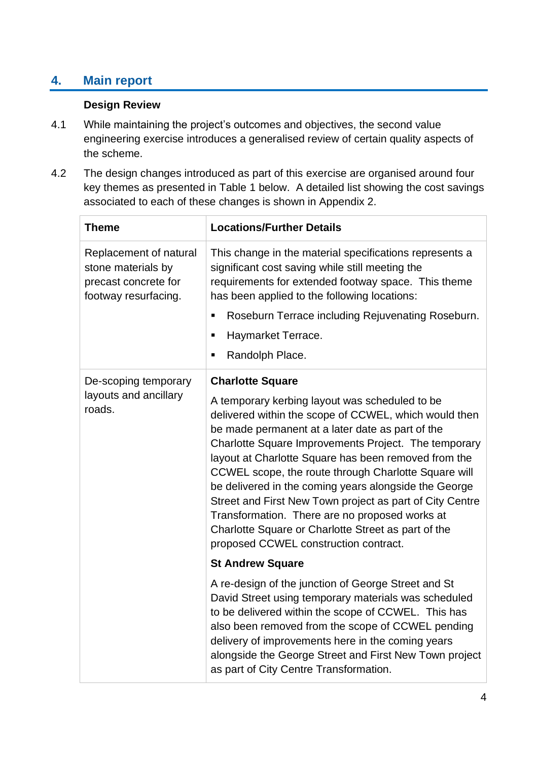## **4. Main report**

#### **Design Review**

- 4.1 While maintaining the project's outcomes and objectives, the second value engineering exercise introduces a generalised review of certain quality aspects of the scheme.
- 4.2 The design changes introduced as part of this exercise are organised around four key themes as presented in Table 1 below. A detailed list showing the cost savings associated to each of these changes is shown in Appendix 2.

| <b>Theme</b>                                                                                 | <b>Locations/Further Details</b>                                                                                                                                                                                                                                                                                                                                                                                                                                                                                                                                                                           |
|----------------------------------------------------------------------------------------------|------------------------------------------------------------------------------------------------------------------------------------------------------------------------------------------------------------------------------------------------------------------------------------------------------------------------------------------------------------------------------------------------------------------------------------------------------------------------------------------------------------------------------------------------------------------------------------------------------------|
| Replacement of natural<br>stone materials by<br>precast concrete for<br>footway resurfacing. | This change in the material specifications represents a<br>significant cost saving while still meeting the<br>requirements for extended footway space. This theme<br>has been applied to the following locations:<br>Roseburn Terrace including Rejuvenating Roseburn.<br>П<br>Haymarket Terrace.<br>Е<br>Randolph Place.<br>٠                                                                                                                                                                                                                                                                             |
| De-scoping temporary                                                                         | <b>Charlotte Square</b>                                                                                                                                                                                                                                                                                                                                                                                                                                                                                                                                                                                    |
| layouts and ancillary<br>roads.                                                              | A temporary kerbing layout was scheduled to be<br>delivered within the scope of CCWEL, which would then<br>be made permanent at a later date as part of the<br>Charlotte Square Improvements Project. The temporary<br>layout at Charlotte Square has been removed from the<br>CCWEL scope, the route through Charlotte Square will<br>be delivered in the coming years alongside the George<br>Street and First New Town project as part of City Centre<br>Transformation. There are no proposed works at<br>Charlotte Square or Charlotte Street as part of the<br>proposed CCWEL construction contract. |
|                                                                                              | <b>St Andrew Square</b>                                                                                                                                                                                                                                                                                                                                                                                                                                                                                                                                                                                    |
|                                                                                              | A re-design of the junction of George Street and St<br>David Street using temporary materials was scheduled<br>to be delivered within the scope of CCWEL. This has<br>also been removed from the scope of CCWEL pending<br>delivery of improvements here in the coming years<br>alongside the George Street and First New Town project<br>as part of City Centre Transformation.                                                                                                                                                                                                                           |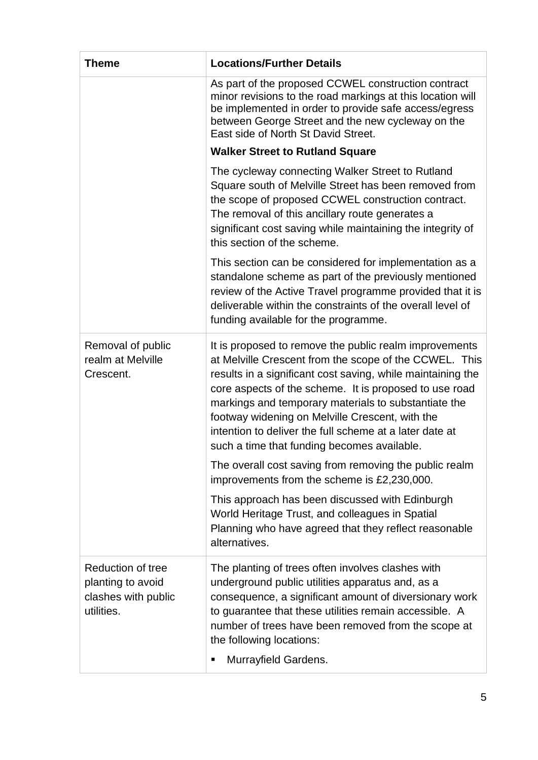| <b>Theme</b>                                                                       | <b>Locations/Further Details</b>                                                                                                                                                                                                                                                                                                                                                                                                                               |  |  |  |  |  |
|------------------------------------------------------------------------------------|----------------------------------------------------------------------------------------------------------------------------------------------------------------------------------------------------------------------------------------------------------------------------------------------------------------------------------------------------------------------------------------------------------------------------------------------------------------|--|--|--|--|--|
|                                                                                    | As part of the proposed CCWEL construction contract<br>minor revisions to the road markings at this location will<br>be implemented in order to provide safe access/egress<br>between George Street and the new cycleway on the<br>East side of North St David Street.                                                                                                                                                                                         |  |  |  |  |  |
|                                                                                    | <b>Walker Street to Rutland Square</b>                                                                                                                                                                                                                                                                                                                                                                                                                         |  |  |  |  |  |
|                                                                                    | The cycleway connecting Walker Street to Rutland<br>Square south of Melville Street has been removed from<br>the scope of proposed CCWEL construction contract.<br>The removal of this ancillary route generates a<br>significant cost saving while maintaining the integrity of<br>this section of the scheme.                                                                                                                                                |  |  |  |  |  |
|                                                                                    | This section can be considered for implementation as a<br>standalone scheme as part of the previously mentioned<br>review of the Active Travel programme provided that it is<br>deliverable within the constraints of the overall level of<br>funding available for the programme.                                                                                                                                                                             |  |  |  |  |  |
| Removal of public<br>realm at Melville<br>Crescent.                                | It is proposed to remove the public realm improvements<br>at Melville Crescent from the scope of the CCWEL. This<br>results in a significant cost saving, while maintaining the<br>core aspects of the scheme. It is proposed to use road<br>markings and temporary materials to substantiate the<br>footway widening on Melville Crescent, with the<br>intention to deliver the full scheme at a later date at<br>such a time that funding becomes available. |  |  |  |  |  |
|                                                                                    | The overall cost saving from removing the public realm<br>improvements from the scheme is £2,230,000.                                                                                                                                                                                                                                                                                                                                                          |  |  |  |  |  |
|                                                                                    | This approach has been discussed with Edinburgh<br>World Heritage Trust, and colleagues in Spatial<br>Planning who have agreed that they reflect reasonable<br>alternatives.                                                                                                                                                                                                                                                                                   |  |  |  |  |  |
| <b>Reduction of tree</b><br>planting to avoid<br>clashes with public<br>utilities. | The planting of trees often involves clashes with<br>underground public utilities apparatus and, as a<br>consequence, a significant amount of diversionary work<br>to guarantee that these utilities remain accessible. A<br>number of trees have been removed from the scope at<br>the following locations:<br>Murrayfield Gardens.<br>п                                                                                                                      |  |  |  |  |  |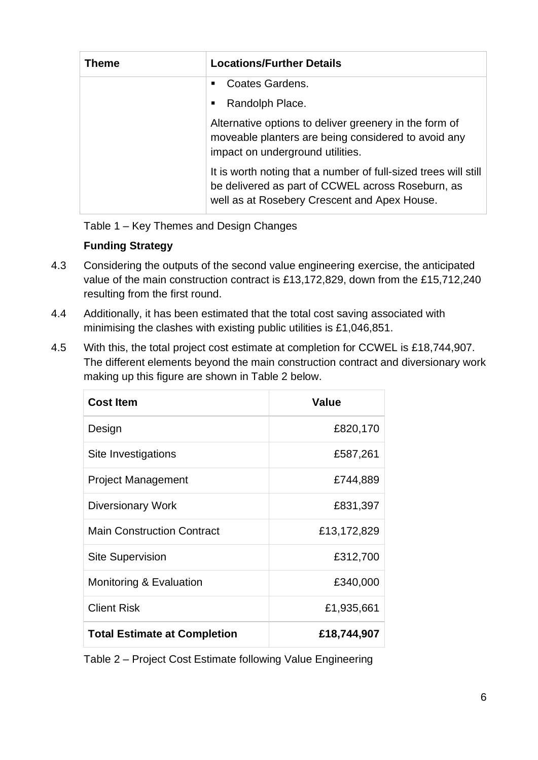| <b>Theme</b> | <b>Locations/Further Details</b>                                                                                                                                     |
|--------------|----------------------------------------------------------------------------------------------------------------------------------------------------------------------|
|              | Coates Gardens.<br>٠.                                                                                                                                                |
|              | Randolph Place.<br>٠                                                                                                                                                 |
|              | Alternative options to deliver greenery in the form of<br>moveable planters are being considered to avoid any<br>impact on underground utilities.                    |
|              | It is worth noting that a number of full-sized trees will still<br>be delivered as part of CCWEL across Roseburn, as<br>well as at Rosebery Crescent and Apex House. |

Table 1 – Key Themes and Design Changes

## **Funding Strategy**

- 4.3 Considering the outputs of the second value engineering exercise, the anticipated value of the main construction contract is £13,172,829, down from the £15,712,240 resulting from the first round.
- 4.4 Additionally, it has been estimated that the total cost saving associated with minimising the clashes with existing public utilities is £1,046,851.
- 4.5 With this, the total project cost estimate at completion for CCWEL is £18,744,907. The different elements beyond the main construction contract and diversionary work making up this figure are shown in Table 2 below.

| <b>Cost Item</b>                    | Value       |
|-------------------------------------|-------------|
| Design                              | £820,170    |
| Site Investigations                 | £587,261    |
| <b>Project Management</b>           | £744,889    |
| <b>Diversionary Work</b>            | £831,397    |
| <b>Main Construction Contract</b>   | £13,172,829 |
| <b>Site Supervision</b>             | £312,700    |
| Monitoring & Evaluation             | £340,000    |
| <b>Client Risk</b>                  | £1,935,661  |
| <b>Total Estimate at Completion</b> | £18,744,907 |

Table 2 – Project Cost Estimate following Value Engineering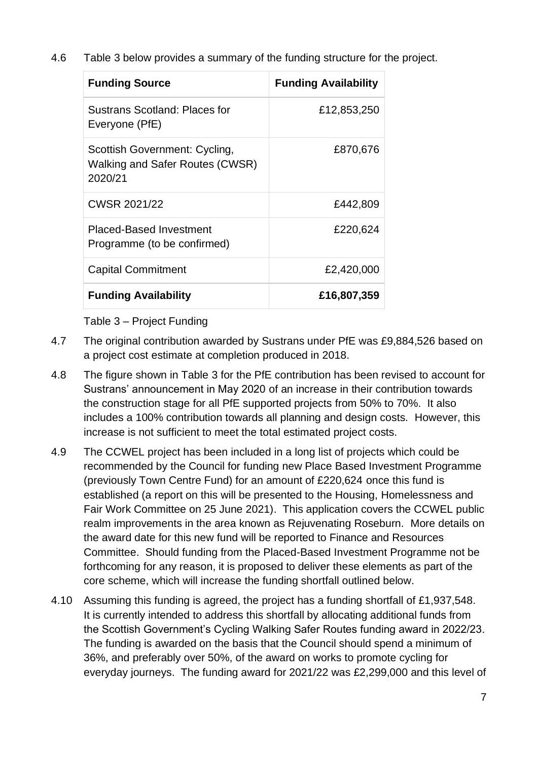4.6 Table 3 below provides a summary of the funding structure for the project.

| <b>Funding Source</b>                                                       | <b>Funding Availability</b> |
|-----------------------------------------------------------------------------|-----------------------------|
| <b>Sustrans Scotland: Places for</b><br>Everyone (PfE)                      | £12,853,250                 |
| Scottish Government: Cycling,<br>Walking and Safer Routes (CWSR)<br>2020/21 | £870,676                    |
| CWSR 2021/22                                                                | £442,809                    |
| <b>Placed-Based Investment</b><br>Programme (to be confirmed)               | £220,624                    |
| <b>Capital Commitment</b>                                                   | £2,420,000                  |
| <b>Funding Availability</b>                                                 | £16,807,359                 |

Table 3 – Project Funding

- 4.7 The original contribution awarded by Sustrans under PfE was £9,884,526 based on a project cost estimate at completion produced in 2018.
- 4.8 The figure shown in Table 3 for the PfE contribution has been revised to account for Sustrans' announcement in May 2020 of an increase in their contribution towards the construction stage for all PfE supported projects from 50% to 70%. It also includes a 100% contribution towards all planning and design costs. However, this increase is not sufficient to meet the total estimated project costs.
- 4.9 The CCWEL project has been included in a long list of projects which could be recommended by the Council for funding new Place Based Investment Programme (previously Town Centre Fund) for an amount of £220,624 once this fund is established (a report on this will be presented to the Housing, Homelessness and Fair Work Committee on 25 June 2021). This application covers the CCWEL public realm improvements in the area known as Rejuvenating Roseburn. More details on the award date for this new fund will be reported to Finance and Resources Committee. Should funding from the Placed-Based Investment Programme not be forthcoming for any reason, it is proposed to deliver these elements as part of the core scheme, which will increase the funding shortfall outlined below.
- 4.10 Assuming this funding is agreed, the project has a funding shortfall of £1,937,548. It is currently intended to address this shortfall by allocating additional funds from the Scottish Government's Cycling Walking Safer Routes funding award in 2022/23. The funding is awarded on the basis that the Council should spend a minimum of 36%, and preferably over 50%, of the award on works to promote cycling for everyday journeys. The funding award for 2021/22 was £2,299,000 and this level of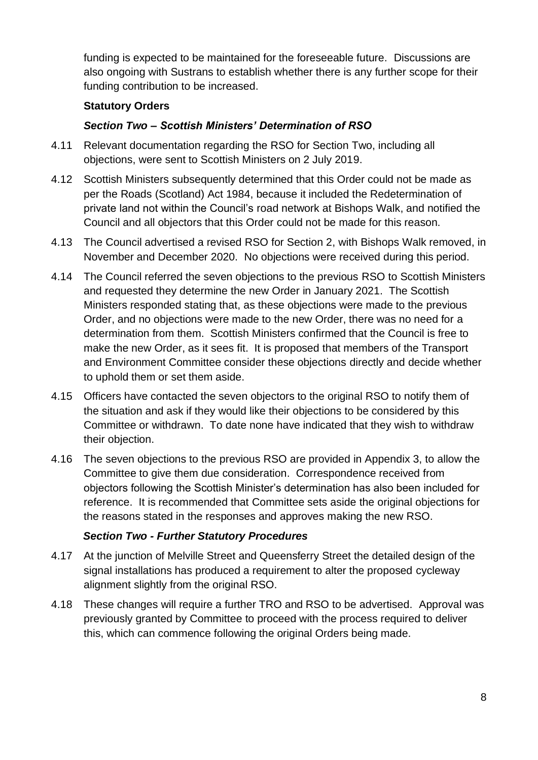funding is expected to be maintained for the foreseeable future. Discussions are also ongoing with Sustrans to establish whether there is any further scope for their funding contribution to be increased.

#### **Statutory Orders**

#### *Section Two – Scottish Ministers' Determination of RSO*

- 4.11 Relevant documentation regarding the RSO for Section Two, including all objections, were sent to Scottish Ministers on 2 July 2019.
- 4.12 Scottish Ministers subsequently determined that this Order could not be made as per the Roads (Scotland) Act 1984, because it included the Redetermination of private land not within the Council's road network at Bishops Walk, and notified the Council and all objectors that this Order could not be made for this reason.
- 4.13 The Council advertised a revised RSO for Section 2, with Bishops Walk removed, in November and December 2020. No objections were received during this period.
- 4.14 The Council referred the seven objections to the previous RSO to Scottish Ministers and requested they determine the new Order in January 2021. The Scottish Ministers responded stating that, as these objections were made to the previous Order, and no objections were made to the new Order, there was no need for a determination from them. Scottish Ministers confirmed that the Council is free to make the new Order, as it sees fit. It is proposed that members of the Transport and Environment Committee consider these objections directly and decide whether to uphold them or set them aside.
- 4.15 Officers have contacted the seven objectors to the original RSO to notify them of the situation and ask if they would like their objections to be considered by this Committee or withdrawn. To date none have indicated that they wish to withdraw their objection.
- 4.16 The seven objections to the previous RSO are provided in Appendix 3, to allow the Committee to give them due consideration. Correspondence received from objectors following the Scottish Minister's determination has also been included for reference. It is recommended that Committee sets aside the original objections for the reasons stated in the responses and approves making the new RSO.

#### *Section Two - Further Statutory Procedures*

- 4.17 At the junction of Melville Street and Queensferry Street the detailed design of the signal installations has produced a requirement to alter the proposed cycleway alignment slightly from the original RSO.
- 4.18 These changes will require a further TRO and RSO to be advertised. Approval was previously granted by Committee to proceed with the process required to deliver this, which can commence following the original Orders being made.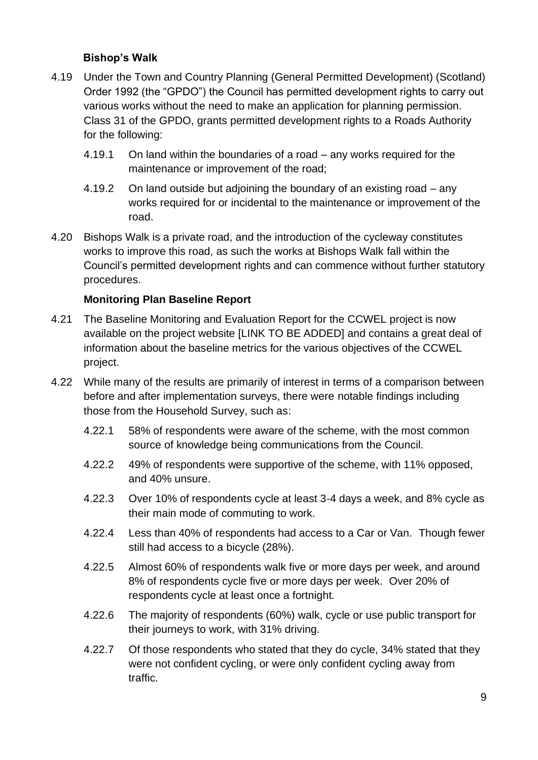#### **Bishop's Walk**

- 4.19 Under the Town and Country Planning (General Permitted Development) (Scotland) Order 1992 (the "GPDO") the Council has permitted development rights to carry out various works without the need to make an application for planning permission. Class 31 of the GPDO, grants permitted development rights to a Roads Authority for the following:
	- 4.19.1 On land within the boundaries of a road any works required for the maintenance or improvement of the road;
	- 4.19.2 On land outside but adjoining the boundary of an existing road any works required for or incidental to the maintenance or improvement of the road.
- 4.20 Bishops Walk is a private road, and the introduction of the cycleway constitutes works to improve this road, as such the works at Bishops Walk fall within the Council's permitted development rights and can commence without further statutory procedures.

#### **Monitoring Plan Baseline Report**

- 4.21 The Baseline Monitoring and Evaluation Report for the CCWEL project is now available on the project website [LINK TO BE ADDED] and contains a great deal of information about the baseline metrics for the various objectives of the CCWEL project.
- 4.22 While many of the results are primarily of interest in terms of a comparison between before and after implementation surveys, there were notable findings including those from the Household Survey, such as:
	- 4.22.1 58% of respondents were aware of the scheme, with the most common source of knowledge being communications from the Council.
	- 4.22.2 49% of respondents were supportive of the scheme, with 11% opposed, and 40% unsure.
	- 4.22.3 Over 10% of respondents cycle at least 3-4 days a week, and 8% cycle as their main mode of commuting to work.
	- 4.22.4 Less than 40% of respondents had access to a Car or Van. Though fewer still had access to a bicycle (28%).
	- 4.22.5 Almost 60% of respondents walk five or more days per week, and around 8% of respondents cycle five or more days per week. Over 20% of respondents cycle at least once a fortnight.
	- 4.22.6 The majority of respondents (60%) walk, cycle or use public transport for their journeys to work, with 31% driving.
	- 4.22.7 Of those respondents who stated that they do cycle, 34% stated that they were not confident cycling, or were only confident cycling away from traffic.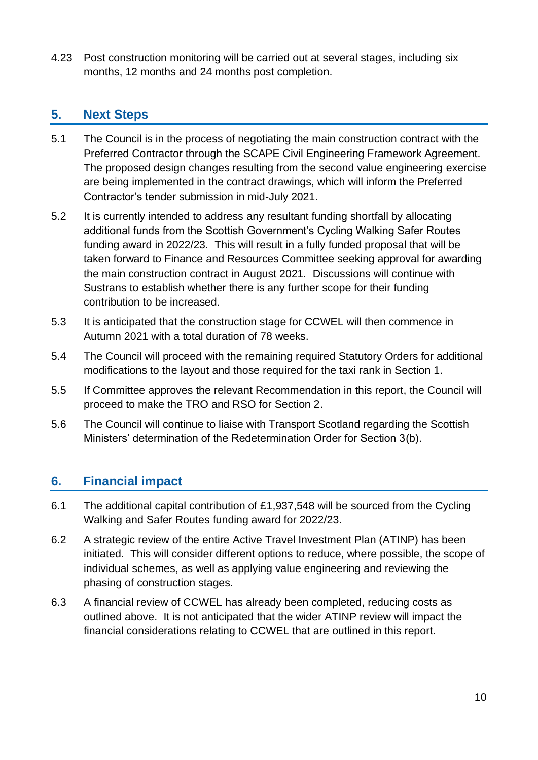4.23 Post construction monitoring will be carried out at several stages, including six months, 12 months and 24 months post completion.

## **5. Next Steps**

- 5.1 The Council is in the process of negotiating the main construction contract with the Preferred Contractor through the SCAPE Civil Engineering Framework Agreement. The proposed design changes resulting from the second value engineering exercise are being implemented in the contract drawings, which will inform the Preferred Contractor's tender submission in mid-July 2021.
- 5.2 It is currently intended to address any resultant funding shortfall by allocating additional funds from the Scottish Government's Cycling Walking Safer Routes funding award in 2022/23. This will result in a fully funded proposal that will be taken forward to Finance and Resources Committee seeking approval for awarding the main construction contract in August 2021. Discussions will continue with Sustrans to establish whether there is any further scope for their funding contribution to be increased.
- 5.3 It is anticipated that the construction stage for CCWEL will then commence in Autumn 2021 with a total duration of 78 weeks.
- 5.4 The Council will proceed with the remaining required Statutory Orders for additional modifications to the layout and those required for the taxi rank in Section 1.
- 5.5 If Committee approves the relevant Recommendation in this report, the Council will proceed to make the TRO and RSO for Section 2.
- 5.6 The Council will continue to liaise with Transport Scotland regarding the Scottish Ministers' determination of the Redetermination Order for Section 3(b).

## **6. Financial impact**

- 6.1 The additional capital contribution of £1,937,548 will be sourced from the Cycling Walking and Safer Routes funding award for 2022/23.
- 6.2 A strategic review of the entire Active Travel Investment Plan (ATINP) has been initiated. This will consider different options to reduce, where possible, the scope of individual schemes, as well as applying value engineering and reviewing the phasing of construction stages.
- 6.3 A financial review of CCWEL has already been completed, reducing costs as outlined above. It is not anticipated that the wider ATINP review will impact the financial considerations relating to CCWEL that are outlined in this report.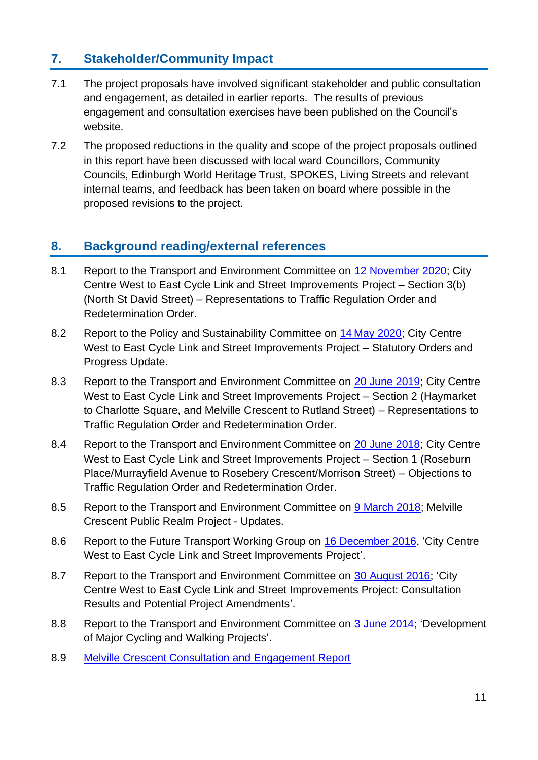## **7. Stakeholder/Community Impact**

- 7.1 The project proposals have involved significant stakeholder and public consultation and engagement, as detailed in earlier reports. The results of previous engagement and consultation exercises have been published on the Council's website.
- 7.2 The proposed reductions in the quality and scope of the project proposals outlined in this report have been discussed with local ward Councillors, Community Councils, Edinburgh World Heritage Trust, SPOKES, Living Streets and relevant internal teams, and feedback has been taken on board where possible in the proposed revisions to the project.

## **8. Background reading/external references**

- 8.1 Report to the Transport and Environment Committee on [12 November 2020;](https://democracy.edinburgh.gov.uk/documents/s28760/7.3%20-%20CCWEL_Final.pdf) City Centre West to East Cycle Link and Street Improvements Project – Section 3(b) (North St David Street) – Representations to Traffic Regulation Order and Redetermination Order.
- 8.2 Report to the Policy and Sustainability Committee on 14 [May 2020;](https://democracy.edinburgh.gov.uk/documents/s24011/Item%206.7%20-%20City%20Centre%20West%20to%20East%20Cycle%20Link%20and%20Street.pdf) City Centre West to East Cycle Link and Street Improvements Project – Statutory Orders and Progress Update.
- 8.3 Report to the Transport and Environment Committee on 20 June 2019; City Centre [West to East Cycle Link and Street Improvements Project –](https://democracy.edinburgh.gov.uk/Data/Transport%20and%20Environment%20Committee/20190620/Agenda/item_71_-_city_centre_west_to_east_cycle_link_and_street_improvements_project_-_section_2_haymarket_to_charl.pdf) Section 2 (Haymarket [to Charlotte Square, and Melville Crescent to Rutland Street\) –](https://democracy.edinburgh.gov.uk/Data/Transport%20and%20Environment%20Committee/20190620/Agenda/item_71_-_city_centre_west_to_east_cycle_link_and_street_improvements_project_-_section_2_haymarket_to_charl.pdf) Representations to [Traffic Regulation Order and Redetermination Order.](https://democracy.edinburgh.gov.uk/Data/Transport%20and%20Environment%20Committee/20190620/Agenda/item_71_-_city_centre_west_to_east_cycle_link_and_street_improvements_project_-_section_2_haymarket_to_charl.pdf)
- 8.4 Report to the Transport and Environment Committee on [20 June 2018; City Centre](https://democracy.edinburgh.gov.uk/Data/Transport%20and%20Environment%20Committee/20180620/Agenda/item_71_-_city_centre_west_to_east_cycle_link_and_street_improvements_project_-_section_1_roseburn_placemurr.pdf)  [West to East Cycle Link and Street Improvements Project –](https://democracy.edinburgh.gov.uk/Data/Transport%20and%20Environment%20Committee/20180620/Agenda/item_71_-_city_centre_west_to_east_cycle_link_and_street_improvements_project_-_section_1_roseburn_placemurr.pdf) Section 1 (Roseburn [Place/Murrayfield Avenue to Rosebery Crescent/Morrison Street\) –](https://democracy.edinburgh.gov.uk/Data/Transport%20and%20Environment%20Committee/20180620/Agenda/item_71_-_city_centre_west_to_east_cycle_link_and_street_improvements_project_-_section_1_roseburn_placemurr.pdf) Objections to [Traffic Regulation Order and Redetermination Order.](https://democracy.edinburgh.gov.uk/Data/Transport%20and%20Environment%20Committee/20180620/Agenda/item_71_-_city_centre_west_to_east_cycle_link_and_street_improvements_project_-_section_1_roseburn_placemurr.pdf)
- 8.5 Report to the Transport and Environment Committee on [9 March 2018; Melville](https://democracy.edinburgh.gov.uk/Data/Transport%20and%20Environment%20Committee/20180309/Agenda/item_72_-_melville_crescent_public_realm_project_-_update.pdf)  [Crescent Public Realm Project -](https://democracy.edinburgh.gov.uk/Data/Transport%20and%20Environment%20Committee/20180309/Agenda/item_72_-_melville_crescent_public_realm_project_-_update.pdf) Updates.
- 8.6 Report to the Future Transport Working Group on [16 December 2016,](https://democracy.edinburgh.gov.uk/CeListDocuments.aspx?CommitteeId=284&MeetingId=2394&DF=16%2f12%2f2016&Ver=2) ['City Centre](http://www.edinburgh.gov.uk/meetings/meeting/4097/future_transport_working_group)  [West to East Cycle Link and Street Improvements Project'](http://www.edinburgh.gov.uk/meetings/meeting/4097/future_transport_working_group).
- 8.7 Report to the Transport and Environment Committee on [30 August 2016;](https://democracy.edinburgh.gov.uk/Data/Transport%20and%20Environment%20Committee/20160830/Agenda/item_75_-_city_centre_west_to_east_cycle_link_and_street_improvements.pdf) 'City [Centre West to East Cycle Link and Street Improvements Project: Consultation](http://www.edinburgh.gov.uk/meetings/meeting/4002/transport_and_environment_committee)  [Results and Potential Project Amendments'](http://www.edinburgh.gov.uk/meetings/meeting/4002/transport_and_environment_committee).
- 8.8 Report to the Transport and Environment Committee on [3 June 2014;](https://democracy.edinburgh.gov.uk/Data/Transport%20and%20Environment%20Committee/20140603/Agenda/item_78_-_development_of_major_cycling_and_walking_projects.pdf) 'Development [of Major Cycling and Walking Projects'](http://www.edinburgh.gov.uk/meetings/meeting/3363/transport_and_environment_committee).
- 8.9 [Melville Crescent Consultation and Engagement Report](https://www.edinburgh.gov.uk/downloads/file/25800/melville-crescent-consultation-report)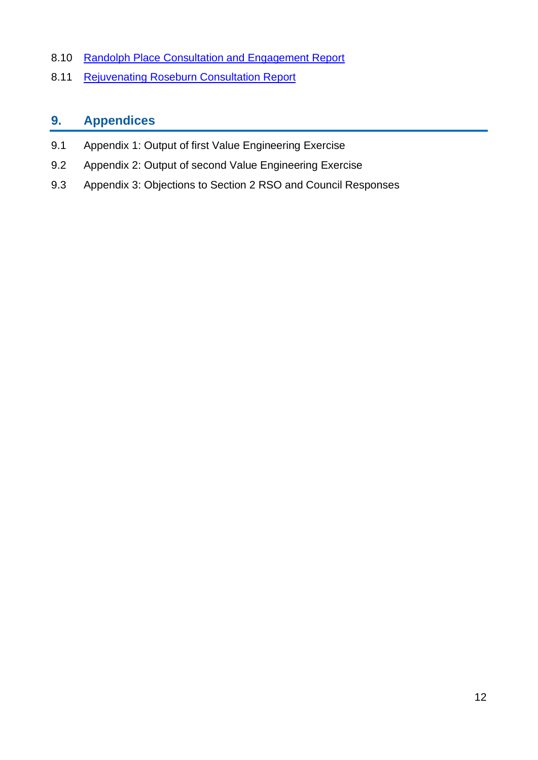- 8.10 Randolph Place Consultation and Engagement Report
- 8.11 Rejuvena[t](https://www.edinburgh.gov.uk/downloads/file/25915/rejuvenating-roseburn-report)ing Roseburn Consultation Report

## **9. Appendices**

- 9.1 Appendix 1: Output of first Value Engineering Exercise
- 9.2 Appendix 2: Output of second Value Engineering Exercise
- 9.3 Appendix 3: Objections to Section 2 RSO and Council Responses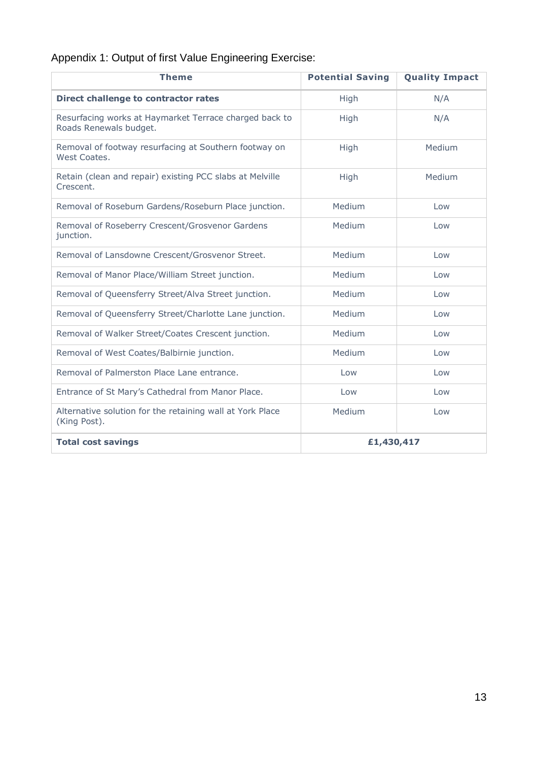## Appendix 1: Output of first Value Engineering Exercise:

| <b>Theme</b>                                                                     | <b>Potential Saving</b> | <b>Quality Impact</b> |
|----------------------------------------------------------------------------------|-------------------------|-----------------------|
| <b>Direct challenge to contractor rates</b>                                      | High                    | N/A                   |
| Resurfacing works at Haymarket Terrace charged back to<br>Roads Renewals budget. | High                    | N/A                   |
| Removal of footway resurfacing at Southern footway on<br>West Coates.            | High                    | Medium                |
| Retain (clean and repair) existing PCC slabs at Melville<br>Crescent.            | High                    | Medium                |
| Removal of Roseburn Gardens/Roseburn Place junction.                             | Medium                  | Low                   |
| Removal of Roseberry Crescent/Grosvenor Gardens<br>junction.                     | Medium                  | Low                   |
| Removal of Lansdowne Crescent/Grosvenor Street.                                  | Medium                  | Low                   |
| Removal of Manor Place/William Street junction.                                  | Medium                  | Low                   |
| Removal of Queensferry Street/Alva Street junction.                              | Medium                  | Low                   |
| Removal of Queensferry Street/Charlotte Lane junction.                           | Medium                  | Low                   |
| Removal of Walker Street/Coates Crescent junction.                               | Medium                  | Low                   |
| Removal of West Coates/Balbirnie junction.                                       | Medium                  | Low                   |
| Removal of Palmerston Place Lane entrance.                                       | Low                     | Low                   |
| Entrance of St Mary's Cathedral from Manor Place.                                | Low                     | Low                   |
| Alternative solution for the retaining wall at York Place<br>(King Post).        | Medium                  | Low                   |
| <b>Total cost savings</b>                                                        | £1,430,417              |                       |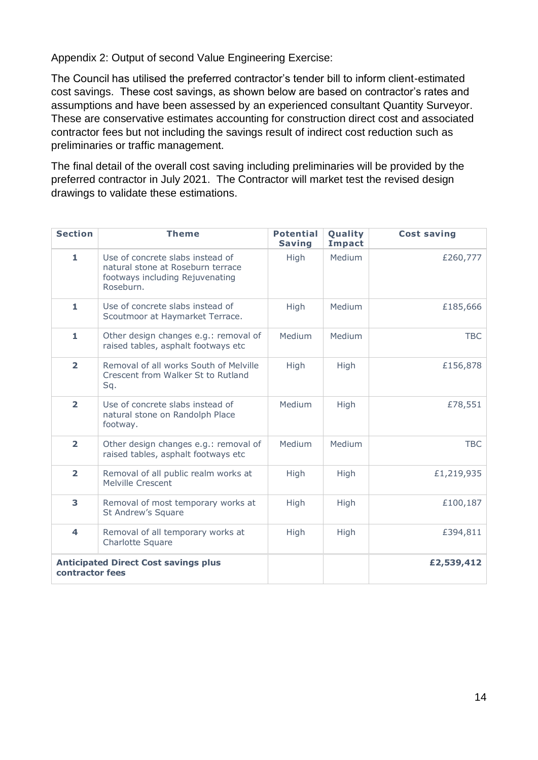Appendix 2: Output of second Value Engineering Exercise:

The Council has utilised the preferred contractor's tender bill to inform client-estimated cost savings. These cost savings, as shown below are based on contractor's rates and assumptions and have been assessed by an experienced consultant Quantity Surveyor. These are conservative estimates accounting for construction direct cost and associated contractor fees but not including the savings result of indirect cost reduction such as preliminaries or traffic management.

The final detail of the overall cost saving including preliminaries will be provided by the preferred contractor in July 2021. The Contractor will market test the revised design drawings to validate these estimations.

| <b>Section</b>          | <b>Theme</b>                                                                                                          | <b>Potential</b><br><b>Saving</b> | Quality<br>Impact | <b>Cost saving</b> |
|-------------------------|-----------------------------------------------------------------------------------------------------------------------|-----------------------------------|-------------------|--------------------|
| 1                       | Use of concrete slabs instead of<br>natural stone at Roseburn terrace<br>footways including Rejuvenating<br>Roseburn. | High                              | Medium            | £260,777           |
| 1                       | Use of concrete slabs instead of<br>Scoutmoor at Haymarket Terrace.                                                   | High                              | Medium            | £185,666           |
| 1                       | Other design changes e.g.: removal of<br>raised tables, asphalt footways etc                                          | Medium                            | Medium            | <b>TBC</b>         |
| $\overline{\mathbf{2}}$ | Removal of all works South of Melville<br>Crescent from Walker St to Rutland<br>Sq.                                   | High                              | High              | £156,878           |
| $\overline{\mathbf{2}}$ | Use of concrete slabs instead of<br>natural stone on Randolph Place<br>footway.                                       | Medium                            | High              | £78,551            |
| $\overline{2}$          | Other design changes e.g.: removal of<br>raised tables, asphalt footways etc                                          | Medium                            | Medium            | <b>TBC</b>         |
| $\overline{2}$          | Removal of all public realm works at<br>Melville Crescent                                                             | High                              | High              | £1,219,935         |
| 3                       | Removal of most temporary works at<br>St Andrew's Square                                                              | High                              | High              | £100,187           |
| 4                       | Removal of all temporary works at<br>Charlotte Square                                                                 | High                              | High              | £394,811           |
| contractor fees         | <b>Anticipated Direct Cost savings plus</b>                                                                           |                                   |                   | £2,539,412         |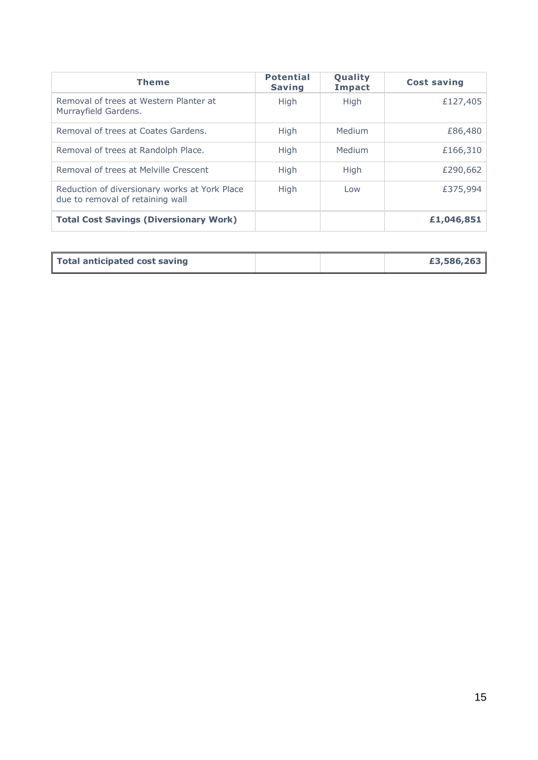| <b>Theme</b>                                                                      | <b>Potential</b><br><b>Saving</b> | Quality<br><b>Impact</b> | <b>Cost saving</b> |
|-----------------------------------------------------------------------------------|-----------------------------------|--------------------------|--------------------|
| Removal of trees at Western Planter at<br>Murrayfield Gardens.                    | High                              | <b>High</b>              | £127,405           |
| Removal of trees at Coates Gardens.                                               | High                              | Medium                   | £86,480            |
| Removal of trees at Randolph Place.                                               | High                              | Medium                   | £166,310           |
| Removal of trees at Melville Crescent                                             | High                              | High                     | £290,662           |
| Reduction of diversionary works at York Place<br>due to removal of retaining wall | High                              | Low                      | £375,994           |
| <b>Total Cost Savings (Diversionary Work)</b>                                     |                                   |                          | £1,046,851         |

| Total anticipated cost saving |  | £3,586,263 |
|-------------------------------|--|------------|
|                               |  |            |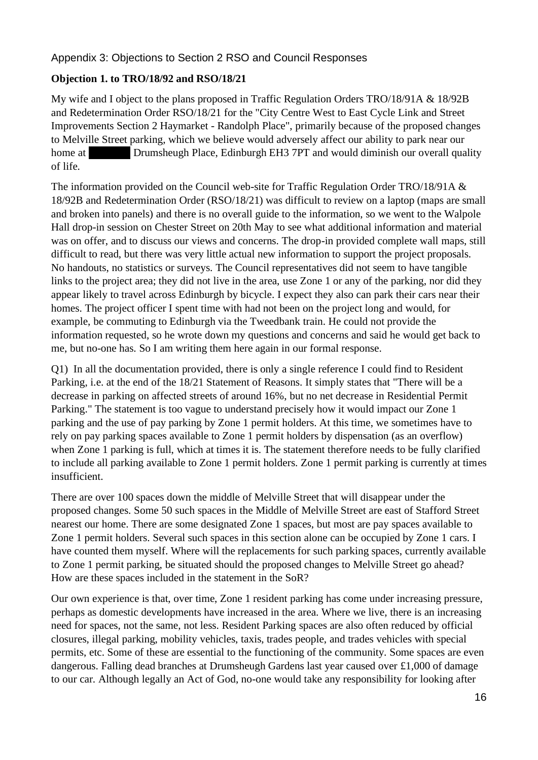#### Appendix 3: Objections to Section 2 RSO and Council Responses

#### **Objection 1. to TRO/18/92 and RSO/18/21**

My wife and I object to the plans proposed in Traffic Regulation Orders TRO/18/91A & 18/92B and Redetermination Order RSO/18/21 for the "City Centre West to East Cycle Link and Street Improvements Section 2 Haymarket - Randolph Place", primarily because of the proposed changes to Melville Street parking, which we believe would adversely affect our ability to park near our home at **Flath 2F, 1 Drumsheugh Place, Edinburgh EH3 7PT** and would diminish our overall quality of life.

The information provided on the Council web-site for Traffic Regulation Order TRO/18/91A & 18/92B and Redetermination Order (RSO/18/21) was difficult to review on a laptop (maps are small and broken into panels) and there is no overall guide to the information, so we went to the Walpole Hall drop-in session on Chester Street on 20th May to see what additional information and material was on offer, and to discuss our views and concerns. The drop-in provided complete wall maps, still difficult to read, but there was very little actual new information to support the project proposals. No handouts, no statistics or surveys. The Council representatives did not seem to have tangible links to the project area; they did not live in the area, use Zone 1 or any of the parking, nor did they appear likely to travel across Edinburgh by bicycle. I expect they also can park their cars near their homes. The project officer I spent time with had not been on the project long and would, for example, be commuting to Edinburgh via the Tweedbank train. He could not provide the information requested, so he wrote down my questions and concerns and said he would get back to me, but no-one has. So I am writing them here again in our formal response.

Q1) In all the documentation provided, there is only a single reference I could find to Resident Parking, i.e. at the end of the 18/21 Statement of Reasons. It simply states that "There will be a decrease in parking on affected streets of around 16%, but no net decrease in Residential Permit Parking." The statement is too vague to understand precisely how it would impact our Zone 1 parking and the use of pay parking by Zone 1 permit holders. At this time, we sometimes have to rely on pay parking spaces available to Zone 1 permit holders by dispensation (as an overflow) when Zone 1 parking is full, which at times it is. The statement therefore needs to be fully clarified to include all parking available to Zone 1 permit holders. Zone 1 permit parking is currently at times insufficient.

There are over 100 spaces down the middle of Melville Street that will disappear under the proposed changes. Some 50 such spaces in the Middle of Melville Street are east of Stafford Street nearest our home. There are some designated Zone 1 spaces, but most are pay spaces available to Zone 1 permit holders. Several such spaces in this section alone can be occupied by Zone 1 cars. I have counted them myself. Where will the replacements for such parking spaces, currently available to Zone 1 permit parking, be situated should the proposed changes to Melville Street go ahead? How are these spaces included in the statement in the SoR?

Our own experience is that, over time, Zone 1 resident parking has come under increasing pressure, perhaps as domestic developments have increased in the area. Where we live, there is an increasing need for spaces, not the same, not less. Resident Parking spaces are also often reduced by official closures, illegal parking, mobility vehicles, taxis, trades people, and trades vehicles with special permits, etc. Some of these are essential to the functioning of the community. Some spaces are even dangerous. Falling dead branches at Drumsheugh Gardens last year caused over £1,000 of damage to our car. Although legally an Act of God, no-one would take any responsibility for looking after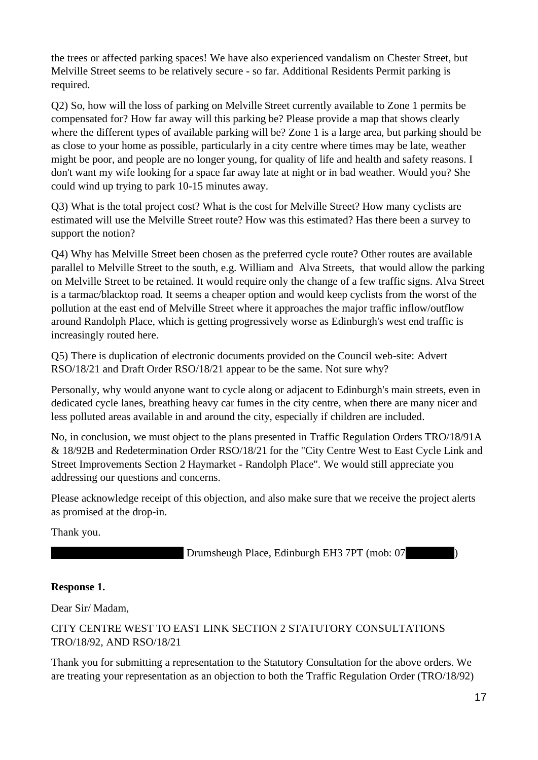the trees or affected parking spaces! We have also experienced vandalism on Chester Street, but Melville Street seems to be relatively secure - so far. Additional Residents Permit parking is required.

Q2) So, how will the loss of parking on Melville Street currently available to Zone 1 permits be compensated for? How far away will this parking be? Please provide a map that shows clearly where the different types of available parking will be? Zone 1 is a large area, but parking should be as close to your home as possible, particularly in a city centre where times may be late, weather might be poor, and people are no longer young, for quality of life and health and safety reasons. I don't want my wife looking for a space far away late at night or in bad weather. Would you? She could wind up trying to park 10-15 minutes away.

Q3) What is the total project cost? What is the cost for Melville Street? How many cyclists are estimated will use the Melville Street route? How was this estimated? Has there been a survey to support the notion?

Q4) Why has Melville Street been chosen as the preferred cycle route? Other routes are available parallel to Melville Street to the south, e.g. William and Alva Streets, that would allow the parking on Melville Street to be retained. It would require only the change of a few traffic signs. Alva Street is a tarmac/blacktop road. It seems a cheaper option and would keep cyclists from the worst of the pollution at the east end of Melville Street where it approaches the major traffic inflow/outflow around Randolph Place, which is getting progressively worse as Edinburgh's west end traffic is increasingly routed here.

Q5) There is duplication of electronic documents provided on the Council web-site: Advert RSO/18/21 and Draft Order RSO/18/21 appear to be the same. Not sure why?

Personally, why would anyone want to cycle along or adjacent to Edinburgh's main streets, even in dedicated cycle lanes, breathing heavy car fumes in the city centre, when there are many nicer and less polluted areas available in and around the city, especially if children are included.

No, in conclusion, we must object to the plans presented in Traffic Regulation Orders TRO/18/91A & 18/92B and Redetermination Order RSO/18/21 for the "City Centre West to East Cycle Link and Street Improvements Section 2 Haymarket - Randolph Place". We would still appreciate you addressing our questions and concerns.

Please acknowledge receipt of this objection, and also make sure that we receive the project alerts as promised at the drop-in.

Thank you.

Drumsheugh Place, Edinburgh EH3 7PT (mob: 07

#### **Response 1.**

Dear Sir/ Madam,

#### CITY CENTRE WEST TO EAST LINK SECTION 2 STATUTORY CONSULTATIONS TRO/18/92, AND RSO/18/21

Thank you for submitting a representation to the Statutory Consultation for the above orders. We are treating your representation as an objection to both the Traffic Regulation Order (TRO/18/92)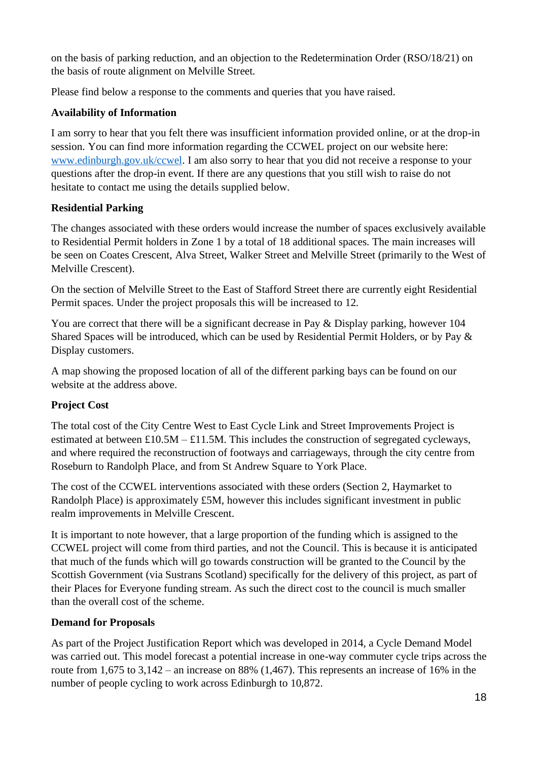on the basis of parking reduction, and an objection to the Redetermination Order (RSO/18/21) on the basis of route alignment on Melville Street.

Please find below a response to the comments and queries that you have raised.

#### **Availability of Information**

I am sorry to hear that you felt there was insufficient information provided online, or at the drop-in session. You can find more information regarding the CCWEL project on our website here: www.edinburgh.gov.uk/ccwel. I am also sorry to hear that you did not receive a response to your questions after the drop-in event. If there are any questions that you still wish to raise do not hesitate to contact me using the details supplied below.

#### **Residential Parking**

The changes associated with these orders would increase the number of spaces exclusively available to Residential Permit holders in Zone 1 by a total of 18 additional spaces. The main increases will be seen on Coates Crescent, Alva Street, Walker Street and Melville Street (primarily to the West of Melville Crescent).

On the section of Melville Street to the East of Stafford Street there are currently eight Residential Permit spaces. Under the project proposals this will be increased to 12.

You are correct that there will be a significant decrease in Pay & Display parking, however 104 Shared Spaces will be introduced, which can be used by Residential Permit Holders, or by Pay & Display customers.

A map showing the proposed location of all of the different parking bays can be found on our website at the address above.

#### **Project Cost**

The total cost of the City Centre West to East Cycle Link and Street Improvements Project is estimated at between  $£10.5M – £11.5M$ . This includes the construction of segregated cycleways, and where required the reconstruction of footways and carriageways, through the city centre from Roseburn to Randolph Place, and from St Andrew Square to York Place.

The cost of the CCWEL interventions associated with these orders (Section 2, Haymarket to Randolph Place) is approximately £5M, however this includes significant investment in public realm improvements in Melville Crescent.

It is important to note however, that a large proportion of the funding which is assigned to the CCWEL project will come from third parties, and not the Council. This is because it is anticipated that much of the funds which will go towards construction will be granted to the Council by the Scottish Government (via Sustrans Scotland) specifically for the delivery of this project, as part of their Places for Everyone funding stream. As such the direct cost to the council is much smaller than the overall cost of the scheme.

#### **Demand for Proposals**

As part of the Project Justification Report which was developed in 2014, a Cycle Demand Model was carried out. This model forecast a potential increase in one-way commuter cycle trips across the route from 1,675 to  $3,142$  – an increase on 88% (1,467). This represents an increase of 16% in the number of people cycling to work across Edinburgh to 10,872.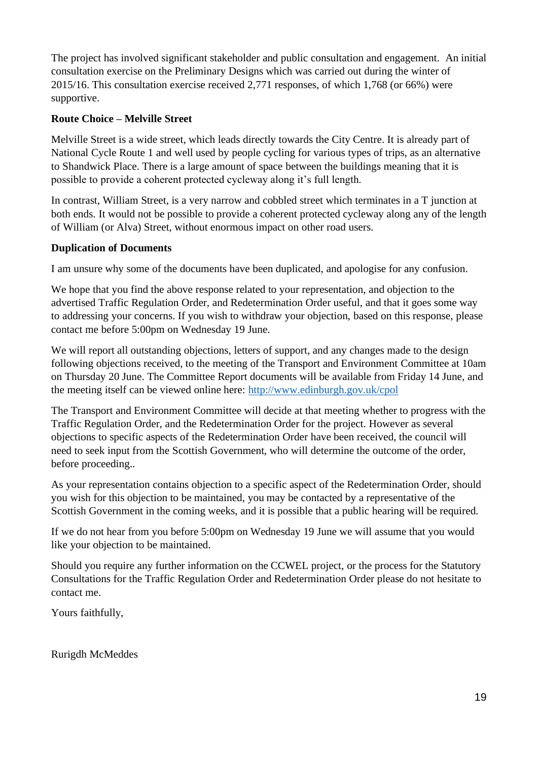The project has involved significant stakeholder and public consultation and engagement. An initial consultation exercise on the Preliminary Designs which was carried out during the winter of 2015/16. This consultation exercise received 2,771 responses, of which 1,768 (or 66%) were supportive.

#### **Route Choice – Melville Street**

Melville Street is a wide street, which leads directly towards the City Centre. It is already part of National Cycle Route 1 and well used by people cycling for various types of trips, as an alternative to Shandwick Place. There is a large amount of space between the buildings meaning that it is possible to provide a coherent protected cycleway along it's full length.

In contrast, William Street, is a very narrow and cobbled street which terminates in a T junction at both ends. It would not be possible to provide a coherent protected cycleway along any of the length of William (or Alva) Street, without enormous impact on other road users.

#### **Duplication of Documents**

I am unsure why some of the documents have been duplicated, and apologise for any confusion.

We hope that you find the above response related to your representation, and objection to the advertised Traffic Regulation Order, and Redetermination Order useful, and that it goes some way to addressing your concerns. If you wish to withdraw your objection, based on this response, please contact me before 5:00pm on Wednesday 19 June.

We will report all outstanding objections, letters of support, and any changes made to the design following objections received, to the meeting of the Transport and Environment Committee at 10am on Thursday 20 June. The Committee Report documents will be available from Friday 14 June, and the meeting itself can be viewed online here: http://www.edinburgh.gov.uk/cpol

The Transport and Environment Committee will decide at that meeting whether to progress with the Traffic Regulation Order, and the Redetermination Order for the project. However as several objections to specific aspects of the Redetermination Order have been received, the council will need to seek input from the Scottish Government, who will determine the outcome of the order, before proceeding..

As your representation contains objection to a specific aspect of the Redetermination Order, should you wish for this objection to be maintained, you may be contacted by a representative of the Scottish Government in the coming weeks, and it is possible that a public hearing will be required.

If we do not hear from you before 5:00pm on Wednesday 19 June we will assume that you would like your objection to be maintained.

Should you require any further information on the CCWEL project, or the process for the Statutory Consultations for the Traffic Regulation Order and Redetermination Order please do not hesitate to contact me.

Yours faithfully,

Rurigdh McMeddes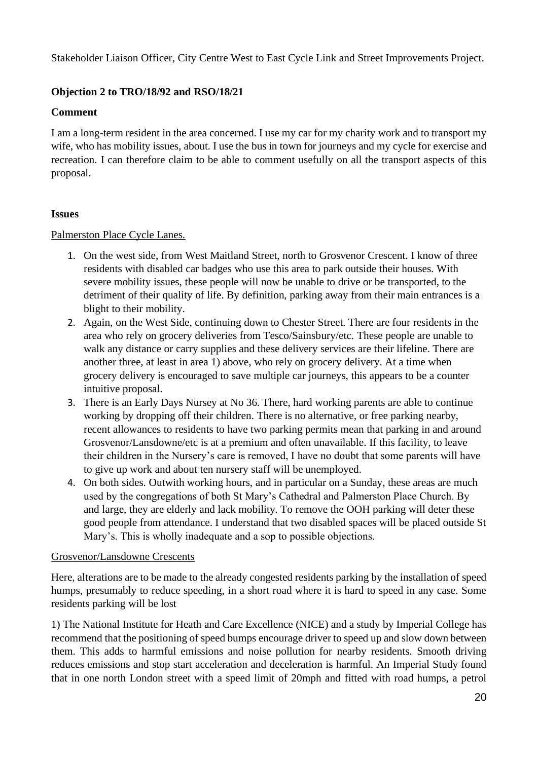Stakeholder Liaison Officer, City Centre West to East Cycle Link and Street Improvements Project.

#### **Objection 2 to TRO/18/92 and RSO/18/21**

#### **Comment**

I am a long-term resident in the area concerned. I use my car for my charity work and to transport my wife, who has mobility issues, about. I use the bus in town for journeys and my cycle for exercise and recreation. I can therefore claim to be able to comment usefully on all the transport aspects of this proposal.

#### **Issues**

#### Palmerston Place Cycle Lanes.

- 1. On the west side, from West Maitland Street, north to Grosvenor Crescent. I know of three residents with disabled car badges who use this area to park outside their houses. With severe mobility issues, these people will now be unable to drive or be transported, to the detriment of their quality of life. By definition, parking away from their main entrances is a blight to their mobility.
- 2. Again, on the West Side, continuing down to Chester Street. There are four residents in the area who rely on grocery deliveries from Tesco/Sainsbury/etc. These people are unable to walk any distance or carry supplies and these delivery services are their lifeline. There are another three, at least in area 1) above, who rely on grocery delivery. At a time when grocery delivery is encouraged to save multiple car journeys, this appears to be a counter intuitive proposal.
- 3. There is an Early Days Nursey at No 36. There, hard working parents are able to continue working by dropping off their children. There is no alternative, or free parking nearby, recent allowances to residents to have two parking permits mean that parking in and around Grosvenor/Lansdowne/etc is at a premium and often unavailable. If this facility, to leave their children in the Nursery's care is removed, I have no doubt that some parents will have to give up work and about ten nursery staff will be unemployed.
- 4. On both sides. Outwith working hours, and in particular on a Sunday, these areas are much used by the congregations of both St Mary's Cathedral and Palmerston Place Church. By and large, they are elderly and lack mobility. To remove the OOH parking will deter these good people from attendance. I understand that two disabled spaces will be placed outside St Mary's. This is wholly inadequate and a sop to possible objections.

#### Grosvenor/Lansdowne Crescents

Here, alterations are to be made to the already congested residents parking by the installation of speed humps, presumably to reduce speeding, in a short road where it is hard to speed in any case. Some residents parking will be lost

1) The National Institute for Heath and Care Excellence (NICE) and a study by Imperial College has recommend that the positioning of speed bumps encourage driver to speed up and slow down between them. This adds to harmful emissions and noise pollution for nearby residents. Smooth driving reduces emissions and stop start acceleration and deceleration is harmful. An Imperial Study found that in one north London street with a speed limit of 20mph and fitted with road humps, a petrol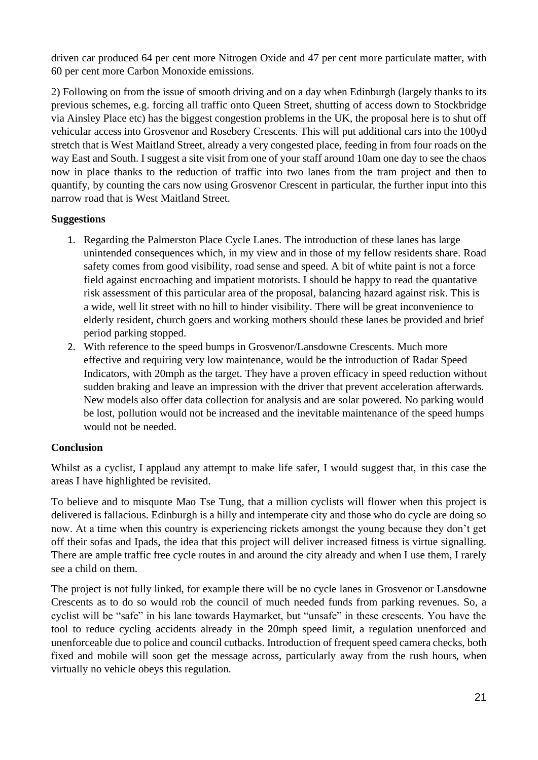driven car produced 64 per cent more Nitrogen Oxide and 47 per cent more particulate matter, with 60 per cent more Carbon Monoxide emissions.

2) Following on from the issue of smooth driving and on a day when Edinburgh (largely thanks to its previous schemes, e.g. forcing all traffic onto Queen Street, shutting of access down to Stockbridge via Ainsley Place etc) has the biggest congestion problems in the UK, the proposal here is to shut off vehicular access into Grosvenor and Rosebery Crescents. This will put additional cars into the 100yd stretch that is West Maitland Street, already a very congested place, feeding in from four roads on the way East and South. I suggest a site visit from one of your staff around 10am one day to see the chaos now in place thanks to the reduction of traffic into two lanes from the tram project and then to quantify, by counting the cars now using Grosvenor Crescent in particular, the further input into this narrow road that is West Maitland Street.

#### **Suggestions**

- 1. Regarding the Palmerston Place Cycle Lanes. The introduction of these lanes has large unintended consequences which, in my view and in those of my fellow residents share. Road safety comes from good visibility, road sense and speed. A bit of white paint is not a force field against encroaching and impatient motorists. I should be happy to read the quantative risk assessment of this particular area of the proposal, balancing hazard against risk. This is a wide, well lit street with no hill to hinder visibility. There will be great inconvenience to elderly resident, church goers and working mothers should these lanes be provided and brief period parking stopped.
- 2. With reference to the speed bumps in Grosvenor/Lansdowne Crescents. Much more effective and requiring very low maintenance, would be the introduction of Radar Speed Indicators, with 20mph as the target. They have a proven efficacy in speed reduction without sudden braking and leave an impression with the driver that prevent acceleration afterwards. New models also offer data collection for analysis and are solar powered. No parking would be lost, pollution would not be increased and the inevitable maintenance of the speed humps would not be needed.

#### **Conclusion**

Whilst as a cyclist, I applaud any attempt to make life safer, I would suggest that, in this case the areas I have highlighted be revisited.

To believe and to misquote Mao Tse Tung, that a million cyclists will flower when this project is delivered is fallacious. Edinburgh is a hilly and intemperate city and those who do cycle are doing so now. At a time when this country is experiencing rickets amongst the young because they don't get off their sofas and Ipads, the idea that this project will deliver increased fitness is virtue signalling. There are ample traffic free cycle routes in and around the city already and when I use them, I rarely see a child on them.

The project is not fully linked, for example there will be no cycle lanes in Grosvenor or Lansdowne Crescents as to do so would rob the council of much needed funds from parking revenues. So, a cyclist will be "safe" in his lane towards Haymarket, but "unsafe" in these crescents. You have the tool to reduce cycling accidents already in the 20mph speed limit, a regulation unenforced and unenforceable due to police and council cutbacks. Introduction of frequent speed camera checks, both fixed and mobile will soon get the message across, particularly away from the rush hours, when virtually no vehicle obeys this regulation.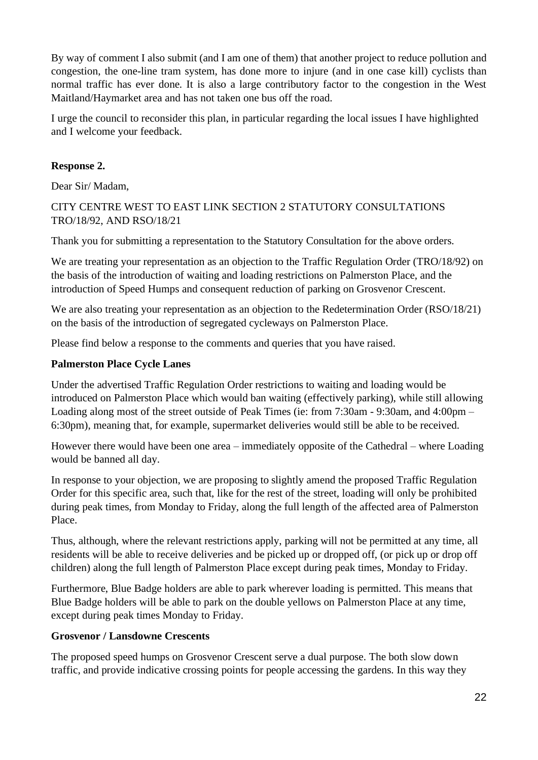By way of comment I also submit (and I am one of them) that another project to reduce pollution and congestion, the one-line tram system, has done more to injure (and in one case kill) cyclists than normal traffic has ever done. It is also a large contributory factor to the congestion in the West Maitland/Haymarket area and has not taken one bus off the road.

I urge the council to reconsider this plan, in particular regarding the local issues I have highlighted and I welcome your feedback.

#### **Response 2.**

Dear Sir/ Madam,

#### CITY CENTRE WEST TO EAST LINK SECTION 2 STATUTORY CONSULTATIONS TRO/18/92, AND RSO/18/21

Thank you for submitting a representation to the Statutory Consultation for the above orders.

We are treating your representation as an objection to the Traffic Regulation Order (TRO/18/92) on the basis of the introduction of waiting and loading restrictions on Palmerston Place, and the introduction of Speed Humps and consequent reduction of parking on Grosvenor Crescent.

We are also treating your representation as an objection to the Redetermination Order (RSO/18/21) on the basis of the introduction of segregated cycleways on Palmerston Place.

Please find below a response to the comments and queries that you have raised.

#### **Palmerston Place Cycle Lanes**

Under the advertised Traffic Regulation Order restrictions to waiting and loading would be introduced on Palmerston Place which would ban waiting (effectively parking), while still allowing Loading along most of the street outside of Peak Times (ie: from 7:30am - 9:30am, and 4:00pm – 6:30pm), meaning that, for example, supermarket deliveries would still be able to be received.

However there would have been one area – immediately opposite of the Cathedral – where Loading would be banned all day.

In response to your objection, we are proposing to slightly amend the proposed Traffic Regulation Order for this specific area, such that, like for the rest of the street, loading will only be prohibited during peak times, from Monday to Friday, along the full length of the affected area of Palmerston Place.

Thus, although, where the relevant restrictions apply, parking will not be permitted at any time, all residents will be able to receive deliveries and be picked up or dropped off, (or pick up or drop off children) along the full length of Palmerston Place except during peak times, Monday to Friday.

Furthermore, Blue Badge holders are able to park wherever loading is permitted. This means that Blue Badge holders will be able to park on the double yellows on Palmerston Place at any time, except during peak times Monday to Friday.

#### **Grosvenor / Lansdowne Crescents**

The proposed speed humps on Grosvenor Crescent serve a dual purpose. The both slow down traffic, and provide indicative crossing points for people accessing the gardens. In this way they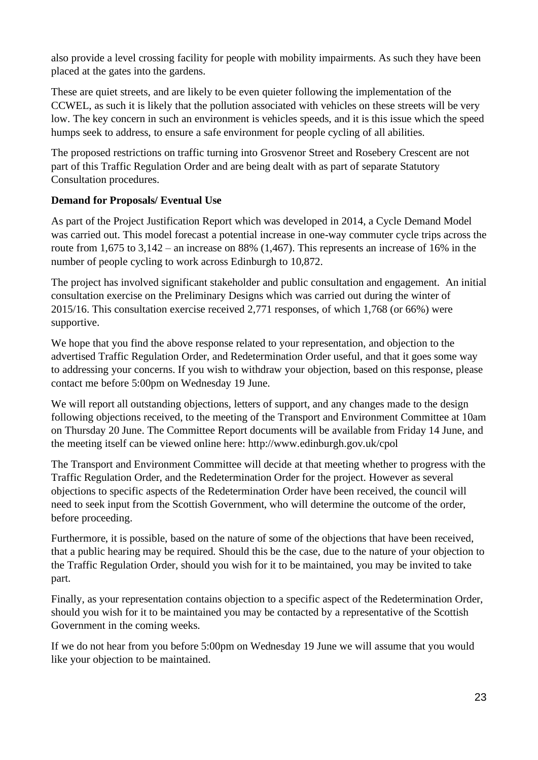also provide a level crossing facility for people with mobility impairments. As such they have been placed at the gates into the gardens.

These are quiet streets, and are likely to be even quieter following the implementation of the CCWEL, as such it is likely that the pollution associated with vehicles on these streets will be very low. The key concern in such an environment is vehicles speeds, and it is this issue which the speed humps seek to address, to ensure a safe environment for people cycling of all abilities.

The proposed restrictions on traffic turning into Grosvenor Street and Rosebery Crescent are not part of this Traffic Regulation Order and are being dealt with as part of separate Statutory Consultation procedures.

#### **Demand for Proposals/ Eventual Use**

As part of the Project Justification Report which was developed in 2014, a Cycle Demand Model was carried out. This model forecast a potential increase in one-way commuter cycle trips across the route from 1,675 to 3,142 – an increase on 88% (1,467). This represents an increase of 16% in the number of people cycling to work across Edinburgh to 10,872.

The project has involved significant stakeholder and public consultation and engagement. An initial consultation exercise on the Preliminary Designs which was carried out during the winter of 2015/16. This consultation exercise received 2,771 responses, of which 1,768 (or 66%) were supportive.

We hope that you find the above response related to your representation, and objection to the advertised Traffic Regulation Order, and Redetermination Order useful, and that it goes some way to addressing your concerns. If you wish to withdraw your objection, based on this response, please contact me before 5:00pm on Wednesday 19 June.

We will report all outstanding objections, letters of support, and any changes made to the design following objections received, to the meeting of the Transport and Environment Committee at 10am on Thursday 20 June. The Committee Report documents will be available from Friday 14 June, and the meeting itself can be viewed online here: http://www.edinburgh.gov.uk/cpol

The Transport and Environment Committee will decide at that meeting whether to progress with the Traffic Regulation Order, and the Redetermination Order for the project. However as several objections to specific aspects of the Redetermination Order have been received, the council will need to seek input from the Scottish Government, who will determine the outcome of the order, before proceeding.

Furthermore, it is possible, based on the nature of some of the objections that have been received, that a public hearing may be required. Should this be the case, due to the nature of your objection to the Traffic Regulation Order, should you wish for it to be maintained, you may be invited to take part.

Finally, as your representation contains objection to a specific aspect of the Redetermination Order, should you wish for it to be maintained you may be contacted by a representative of the Scottish Government in the coming weeks.

If we do not hear from you before 5:00pm on Wednesday 19 June we will assume that you would like your objection to be maintained.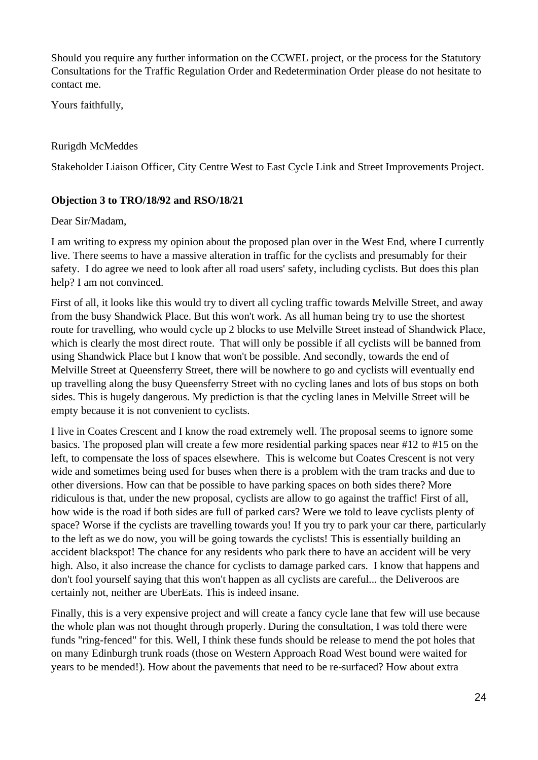Should you require any further information on the CCWEL project, or the process for the Statutory Consultations for the Traffic Regulation Order and Redetermination Order please do not hesitate to contact me.

Yours faithfully,

#### Rurigdh McMeddes

Stakeholder Liaison Officer, City Centre West to East Cycle Link and Street Improvements Project.

#### **Objection 3 to TRO/18/92 and RSO/18/21**

#### Dear Sir/Madam,

I am writing to express my opinion about the proposed plan over in the West End, where I currently live. There seems to have a massive alteration in traffic for the cyclists and presumably for their safety. I do agree we need to look after all road users' safety, including cyclists. But does this plan help? I am not convinced.

First of all, it looks like this would try to divert all cycling traffic towards Melville Street, and away from the busy Shandwick Place. But this won't work. As all human being try to use the shortest route for travelling, who would cycle up 2 blocks to use Melville Street instead of Shandwick Place, which is clearly the most direct route. That will only be possible if all cyclists will be banned from using Shandwick Place but I know that won't be possible. And secondly, towards the end of Melville Street at Queensferry Street, there will be nowhere to go and cyclists will eventually end up travelling along the busy Queensferry Street with no cycling lanes and lots of bus stops on both sides. This is hugely dangerous. My prediction is that the cycling lanes in Melville Street will be empty because it is not convenient to cyclists.

I live in Coates Crescent and I know the road extremely well. The proposal seems to ignore some basics. The proposed plan will create a few more residential parking spaces near #12 to #15 on the left, to compensate the loss of spaces elsewhere. This is welcome but Coates Crescent is not very wide and sometimes being used for buses when there is a problem with the tram tracks and due to other diversions. How can that be possible to have parking spaces on both sides there? More ridiculous is that, under the new proposal, cyclists are allow to go against the traffic! First of all, how wide is the road if both sides are full of parked cars? Were we told to leave cyclists plenty of space? Worse if the cyclists are travelling towards you! If you try to park your car there, particularly to the left as we do now, you will be going towards the cyclists! This is essentially building an accident blackspot! The chance for any residents who park there to have an accident will be very high. Also, it also increase the chance for cyclists to damage parked cars. I know that happens and don't fool yourself saying that this won't happen as all cyclists are careful... the Deliveroos are certainly not, neither are UberEats. This is indeed insane.

Finally, this is a very expensive project and will create a fancy cycle lane that few will use because the whole plan was not thought through properly. During the consultation, I was told there were funds "ring-fenced" for this. Well, I think these funds should be release to mend the pot holes that on many Edinburgh trunk roads (those on Western Approach Road West bound were waited for years to be mended!). How about the pavements that need to be re-surfaced? How about extra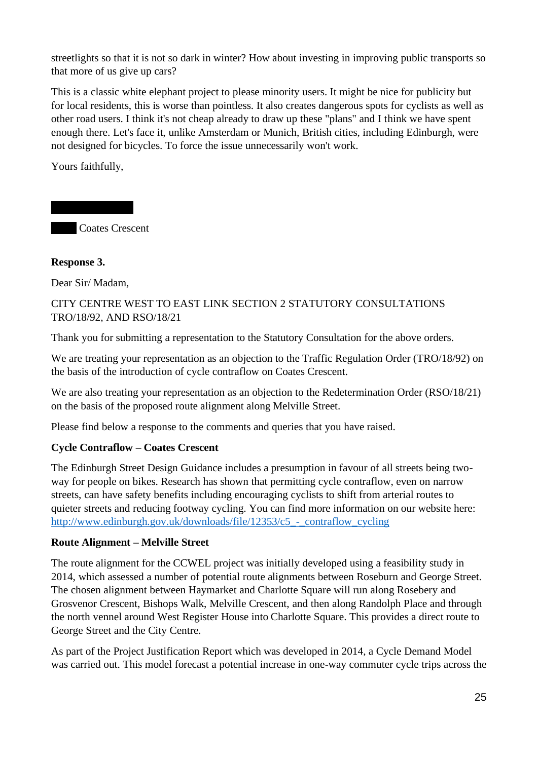streetlights so that it is not so dark in winter? How about investing in improving public transports so that more of us give up cars?

This is a classic white elephant project to please minority users. It might be nice for publicity but for local residents, this is worse than pointless. It also creates dangerous spots for cyclists as well as other road users. I think it's not cheap already to draw up these "plans" and I think we have spent enough there. Let's face it, unlike Amsterdam or Munich, British cities, including Edinburgh, were not designed for bicycles. To force the issue unnecessarily won't work.

Yours faithfully,

**Coates Crescent** 

#### **Response 3.**

Dear Sir/ Madam,

#### CITY CENTRE WEST TO EAST LINK SECTION 2 STATUTORY CONSULTATIONS TRO/18/92, AND RSO/18/21

Thank you for submitting a representation to the Statutory Consultation for the above orders.

We are treating your representation as an objection to the Traffic Regulation Order (TRO/18/92) on the basis of the introduction of cycle contraflow on Coates Crescent.

We are also treating your representation as an objection to the Redetermination Order (RSO/18/21) on the basis of the proposed route alignment along Melville Street.

Please find below a response to the comments and queries that you have raised.

#### **Cycle Contraflow – Coates Crescent**

The Edinburgh Street Design Guidance includes a presumption in favour of all streets being twoway for people on bikes. Research has shown that permitting cycle contraflow, even on narrow streets, can have safety benefits including encouraging cyclists to shift from arterial routes to quieter streets and reducing footway cycling. You can find more information on our website here: http://www.edinburgh.gov.uk/downloads/file/12353/c5\_-\_contraflow\_cycling

#### **Route Alignment – Melville Street**

The route alignment for the CCWEL project was initially developed using a feasibility study in 2014, which assessed a number of potential route alignments between Roseburn and George Street. The chosen alignment between Haymarket and Charlotte Square will run along Rosebery and Grosvenor Crescent, Bishops Walk, Melville Crescent, and then along Randolph Place and through the north vennel around West Register House into Charlotte Square. This provides a direct route to George Street and the City Centre.

As part of the Project Justification Report which was developed in 2014, a Cycle Demand Model was carried out. This model forecast a potential increase in one-way commuter cycle trips across the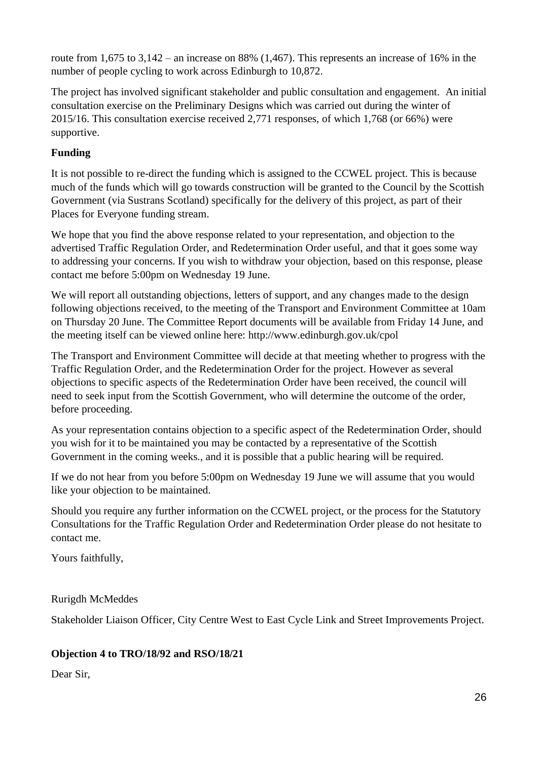route from 1,675 to  $3,142$  – an increase on 88% (1,467). This represents an increase of 16% in the number of people cycling to work across Edinburgh to 10,872.

The project has involved significant stakeholder and public consultation and engagement. An initial consultation exercise on the Preliminary Designs which was carried out during the winter of 2015/16. This consultation exercise received 2,771 responses, of which 1,768 (or 66%) were supportive.

#### **Funding**

It is not possible to re-direct the funding which is assigned to the CCWEL project. This is because much of the funds which will go towards construction will be granted to the Council by the Scottish Government (via Sustrans Scotland) specifically for the delivery of this project, as part of their Places for Everyone funding stream.

We hope that you find the above response related to your representation, and objection to the advertised Traffic Regulation Order, and Redetermination Order useful, and that it goes some way to addressing your concerns. If you wish to withdraw your objection, based on this response, please contact me before 5:00pm on Wednesday 19 June.

We will report all outstanding objections, letters of support, and any changes made to the design following objections received, to the meeting of the Transport and Environment Committee at 10am on Thursday 20 June. The Committee Report documents will be available from Friday 14 June, and the meeting itself can be viewed online here: http://www.edinburgh.gov.uk/cpol

The Transport and Environment Committee will decide at that meeting whether to progress with the Traffic Regulation Order, and the Redetermination Order for the project. However as several objections to specific aspects of the Redetermination Order have been received, the council will need to seek input from the Scottish Government, who will determine the outcome of the order, before proceeding.

As your representation contains objection to a specific aspect of the Redetermination Order, should you wish for it to be maintained you may be contacted by a representative of the Scottish Government in the coming weeks., and it is possible that a public hearing will be required.

If we do not hear from you before 5:00pm on Wednesday 19 June we will assume that you would like your objection to be maintained.

Should you require any further information on the CCWEL project, or the process for the Statutory Consultations for the Traffic Regulation Order and Redetermination Order please do not hesitate to contact me.

Yours faithfully,

Rurigdh McMeddes

Stakeholder Liaison Officer, City Centre West to East Cycle Link and Street Improvements Project.

#### **Objection 4 to TRO/18/92 and RSO/18/21**

Dear Sir,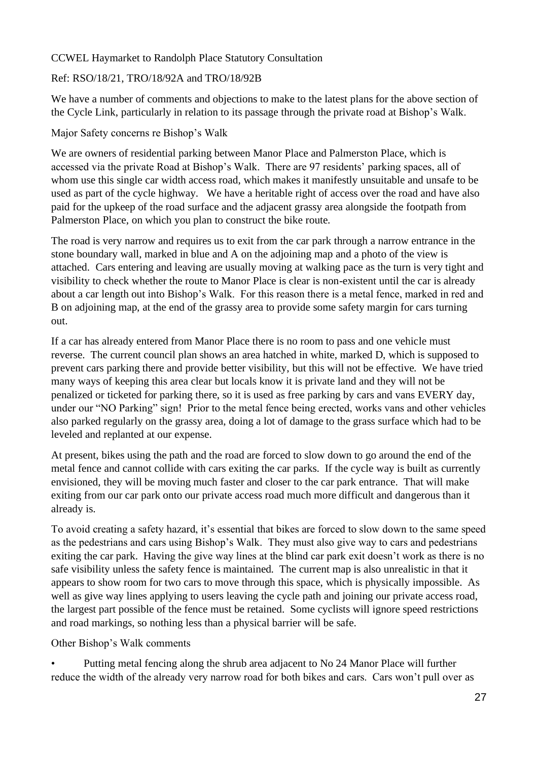#### CCWEL Haymarket to Randolph Place Statutory Consultation

#### Ref: RSO/18/21, TRO/18/92A and TRO/18/92B

We have a number of comments and objections to make to the latest plans for the above section of the Cycle Link, particularly in relation to its passage through the private road at Bishop's Walk.

#### Major Safety concerns re Bishop's Walk

We are owners of residential parking between Manor Place and Palmerston Place, which is accessed via the private Road at Bishop's Walk. There are 97 residents' parking spaces, all of whom use this single car width access road, which makes it manifestly unsuitable and unsafe to be used as part of the cycle highway. We have a heritable right of access over the road and have also paid for the upkeep of the road surface and the adjacent grassy area alongside the footpath from Palmerston Place, on which you plan to construct the bike route.

The road is very narrow and requires us to exit from the car park through a narrow entrance in the stone boundary wall, marked in blue and A on the adjoining map and a photo of the view is attached. Cars entering and leaving are usually moving at walking pace as the turn is very tight and visibility to check whether the route to Manor Place is clear is non-existent until the car is already about a car length out into Bishop's Walk. For this reason there is a metal fence, marked in red and B on adjoining map, at the end of the grassy area to provide some safety margin for cars turning out.

If a car has already entered from Manor Place there is no room to pass and one vehicle must reverse. The current council plan shows an area hatched in white, marked D, which is supposed to prevent cars parking there and provide better visibility, but this will not be effective. We have tried many ways of keeping this area clear but locals know it is private land and they will not be penalized or ticketed for parking there, so it is used as free parking by cars and vans EVERY day, under our "NO Parking" sign! Prior to the metal fence being erected, works vans and other vehicles also parked regularly on the grassy area, doing a lot of damage to the grass surface which had to be leveled and replanted at our expense.

At present, bikes using the path and the road are forced to slow down to go around the end of the metal fence and cannot collide with cars exiting the car parks. If the cycle way is built as currently envisioned, they will be moving much faster and closer to the car park entrance. That will make exiting from our car park onto our private access road much more difficult and dangerous than it already is.

To avoid creating a safety hazard, it's essential that bikes are forced to slow down to the same speed as the pedestrians and cars using Bishop's Walk. They must also give way to cars and pedestrians exiting the car park. Having the give way lines at the blind car park exit doesn't work as there is no safe visibility unless the safety fence is maintained. The current map is also unrealistic in that it appears to show room for two cars to move through this space, which is physically impossible. As well as give way lines applying to users leaving the cycle path and joining our private access road, the largest part possible of the fence must be retained. Some cyclists will ignore speed restrictions and road markings, so nothing less than a physical barrier will be safe.

Other Bishop's Walk comments

• Putting metal fencing along the shrub area adjacent to No 24 Manor Place will further reduce the width of the already very narrow road for both bikes and cars. Cars won't pull over as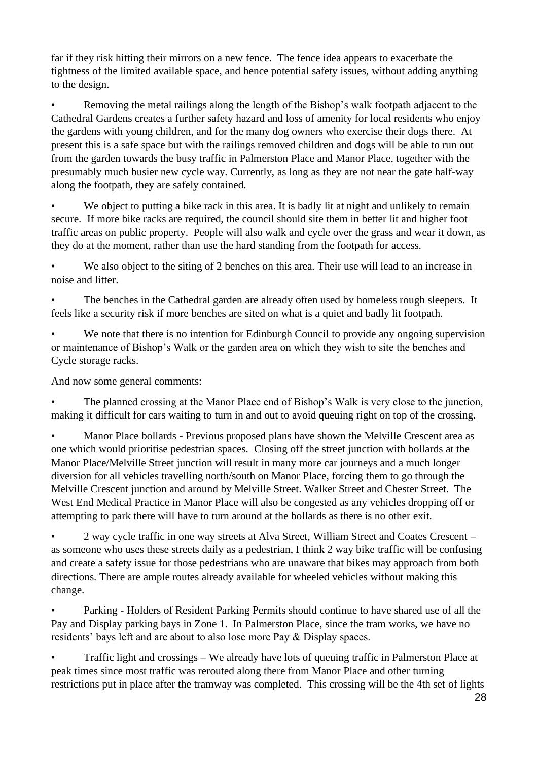far if they risk hitting their mirrors on a new fence. The fence idea appears to exacerbate the tightness of the limited available space, and hence potential safety issues, without adding anything to the design.

• Removing the metal railings along the length of the Bishop's walk footpath adjacent to the Cathedral Gardens creates a further safety hazard and loss of amenity for local residents who enjoy the gardens with young children, and for the many dog owners who exercise their dogs there. At present this is a safe space but with the railings removed children and dogs will be able to run out from the garden towards the busy traffic in Palmerston Place and Manor Place, together with the presumably much busier new cycle way. Currently, as long as they are not near the gate half-way along the footpath, they are safely contained.

We object to putting a bike rack in this area. It is badly lit at night and unlikely to remain secure. If more bike racks are required, the council should site them in better lit and higher foot traffic areas on public property. People will also walk and cycle over the grass and wear it down, as they do at the moment, rather than use the hard standing from the footpath for access.

We also object to the siting of 2 benches on this area. Their use will lead to an increase in noise and litter.

The benches in the Cathedral garden are already often used by homeless rough sleepers. It feels like a security risk if more benches are sited on what is a quiet and badly lit footpath.

We note that there is no intention for Edinburgh Council to provide any ongoing supervision or maintenance of Bishop's Walk or the garden area on which they wish to site the benches and Cycle storage racks.

And now some general comments:

The planned crossing at the Manor Place end of Bishop's Walk is very close to the junction, making it difficult for cars waiting to turn in and out to avoid queuing right on top of the crossing.

• Manor Place bollards - Previous proposed plans have shown the Melville Crescent area as one which would prioritise pedestrian spaces. Closing off the street junction with bollards at the Manor Place/Melville Street junction will result in many more car journeys and a much longer diversion for all vehicles travelling north/south on Manor Place, forcing them to go through the Melville Crescent junction and around by Melville Street. Walker Street and Chester Street. The West End Medical Practice in Manor Place will also be congested as any vehicles dropping off or attempting to park there will have to turn around at the bollards as there is no other exit.

• 2 way cycle traffic in one way streets at Alva Street, William Street and Coates Crescent – as someone who uses these streets daily as a pedestrian, I think 2 way bike traffic will be confusing and create a safety issue for those pedestrians who are unaware that bikes may approach from both directions. There are ample routes already available for wheeled vehicles without making this change.

• Parking - Holders of Resident Parking Permits should continue to have shared use of all the Pay and Display parking bays in Zone 1. In Palmerston Place, since the tram works, we have no residents' bays left and are about to also lose more Pay & Display spaces.

• Traffic light and crossings – We already have lots of queuing traffic in Palmerston Place at peak times since most traffic was rerouted along there from Manor Place and other turning restrictions put in place after the tramway was completed. This crossing will be the 4th set of lights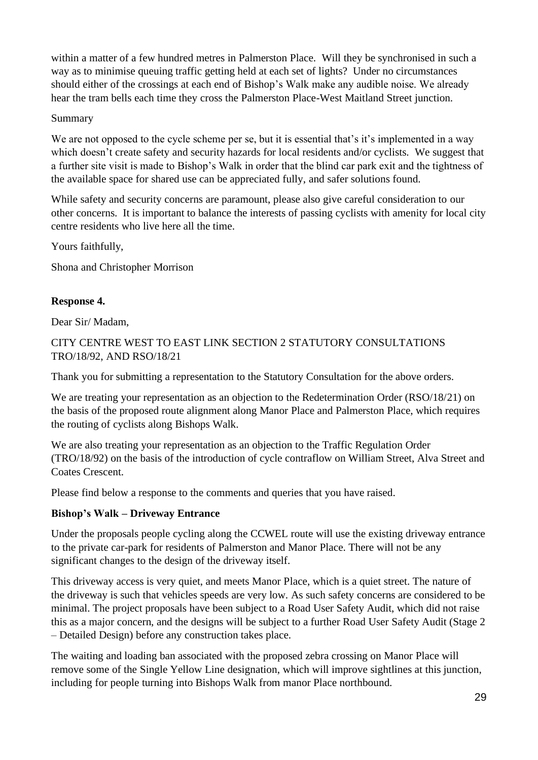within a matter of a few hundred metres in Palmerston Place. Will they be synchronised in such a way as to minimise queuing traffic getting held at each set of lights? Under no circumstances should either of the crossings at each end of Bishop's Walk make any audible noise. We already hear the tram bells each time they cross the Palmerston Place-West Maitland Street junction.

#### Summary

We are not opposed to the cycle scheme per se, but it is essential that's it's implemented in a way which doesn't create safety and security hazards for local residents and/or cyclists. We suggest that a further site visit is made to Bishop's Walk in order that the blind car park exit and the tightness of the available space for shared use can be appreciated fully, and safer solutions found.

While safety and security concerns are paramount, please also give careful consideration to our other concerns. It is important to balance the interests of passing cyclists with amenity for local city centre residents who live here all the time.

Yours faithfully,

Shona and Christopher Morrison

#### **Response 4.**

Dear Sir/ Madam,

CITY CENTRE WEST TO EAST LINK SECTION 2 STATUTORY CONSULTATIONS TRO/18/92, AND RSO/18/21

Thank you for submitting a representation to the Statutory Consultation for the above orders.

We are treating your representation as an objection to the Redetermination Order (RSO/18/21) on the basis of the proposed route alignment along Manor Place and Palmerston Place, which requires the routing of cyclists along Bishops Walk.

We are also treating your representation as an objection to the Traffic Regulation Order (TRO/18/92) on the basis of the introduction of cycle contraflow on William Street, Alva Street and Coates Crescent.

Please find below a response to the comments and queries that you have raised.

#### **Bishop's Walk – Driveway Entrance**

Under the proposals people cycling along the CCWEL route will use the existing driveway entrance to the private car-park for residents of Palmerston and Manor Place. There will not be any significant changes to the design of the driveway itself.

This driveway access is very quiet, and meets Manor Place, which is a quiet street. The nature of the driveway is such that vehicles speeds are very low. As such safety concerns are considered to be minimal. The project proposals have been subject to a Road User Safety Audit, which did not raise this as a major concern, and the designs will be subject to a further Road User Safety Audit (Stage 2 – Detailed Design) before any construction takes place.

The waiting and loading ban associated with the proposed zebra crossing on Manor Place will remove some of the Single Yellow Line designation, which will improve sightlines at this junction, including for people turning into Bishops Walk from manor Place northbound.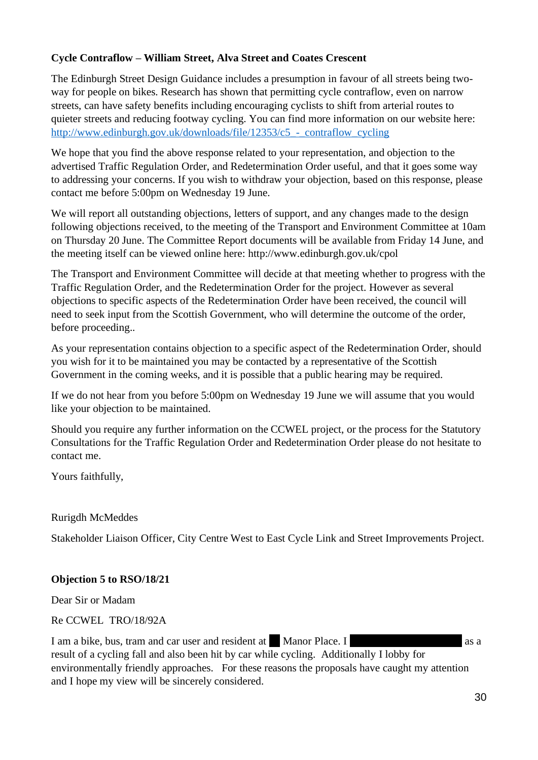#### **Cycle Contraflow – William Street, Alva Street and Coates Crescent**

The Edinburgh Street Design Guidance includes a presumption in favour of all streets being twoway for people on bikes. Research has shown that permitting cycle contraflow, even on narrow streets, can have safety benefits including encouraging cyclists to shift from arterial routes to quieter streets and reducing footway cycling. You can find more information on our website here: http://www.edinburgh.gov.uk/downloads/file/12353/c5 - contraflow cycling

We hope that you find the above response related to your representation, and objection to the advertised Traffic Regulation Order, and Redetermination Order useful, and that it goes some way to addressing your concerns. If you wish to withdraw your objection, based on this response, please contact me before 5:00pm on Wednesday 19 June.

We will report all outstanding objections, letters of support, and any changes made to the design following objections received, to the meeting of the Transport and Environment Committee at 10am on Thursday 20 June. The Committee Report documents will be available from Friday 14 June, and the meeting itself can be viewed online here: http://www.edinburgh.gov.uk/cpol

The Transport and Environment Committee will decide at that meeting whether to progress with the Traffic Regulation Order, and the Redetermination Order for the project. However as several objections to specific aspects of the Redetermination Order have been received, the council will need to seek input from the Scottish Government, who will determine the outcome of the order, before proceeding..

As your representation contains objection to a specific aspect of the Redetermination Order, should you wish for it to be maintained you may be contacted by a representative of the Scottish Government in the coming weeks, and it is possible that a public hearing may be required.

If we do not hear from you before 5:00pm on Wednesday 19 June we will assume that you would like your objection to be maintained.

Should you require any further information on the CCWEL project, or the process for the Statutory Consultations for the Traffic Regulation Order and Redetermination Order please do not hesitate to contact me.

Yours faithfully,

Rurigdh McMeddes

Stakeholder Liaison Officer, City Centre West to East Cycle Link and Street Improvements Project.

#### **Objection 5 to RSO/18/21**

Dear Sir or Madam

Re CCWEL TRO/18/92A

I am a bike, bus, tram and car user and resident at 14 Manor Place. I result of a cycling fall and also been hit by car while cycling. Additionally I lobby for environmentally friendly approaches. For these reasons the proposals have caught my attention and I hope my view will be sincerely considered.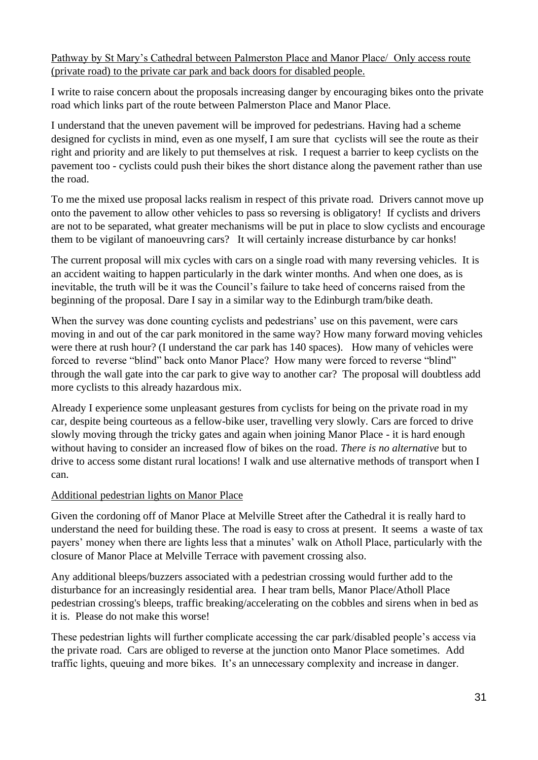Pathway by St Mary's Cathedral between Palmerston Place and Manor Place/ Only access route (private road) to the private car park and back doors for disabled people.

I write to raise concern about the proposals increasing danger by encouraging bikes onto the private road which links part of the route between Palmerston Place and Manor Place.

I understand that the uneven pavement will be improved for pedestrians. Having had a scheme designed for cyclists in mind, even as one myself, I am sure that cyclists will see the route as their right and priority and are likely to put themselves at risk. I request a barrier to keep cyclists on the pavement too - cyclists could push their bikes the short distance along the pavement rather than use the road.

To me the mixed use proposal lacks realism in respect of this private road. Drivers cannot move up onto the pavement to allow other vehicles to pass so reversing is obligatory! If cyclists and drivers are not to be separated, what greater mechanisms will be put in place to slow cyclists and encourage them to be vigilant of manoeuvring cars? It will certainly increase disturbance by car honks!

The current proposal will mix cycles with cars on a single road with many reversing vehicles. It is an accident waiting to happen particularly in the dark winter months. And when one does, as is inevitable, the truth will be it was the Council's failure to take heed of concerns raised from the beginning of the proposal. Dare I say in a similar way to the Edinburgh tram/bike death.

When the survey was done counting cyclists and pedestrians' use on this pavement, were cars moving in and out of the car park monitored in the same way? How many forward moving vehicles were there at rush hour? (I understand the car park has 140 spaces). How many of vehicles were forced to reverse "blind" back onto Manor Place? How many were forced to reverse "blind" through the wall gate into the car park to give way to another car? The proposal will doubtless add more cyclists to this already hazardous mix.

Already I experience some unpleasant gestures from cyclists for being on the private road in my car, despite being courteous as a fellow-bike user, travelling very slowly. Cars are forced to drive slowly moving through the tricky gates and again when joining Manor Place - it is hard enough without having to consider an increased flow of bikes on the road. *There is no alternative* but to drive to access some distant rural locations! I walk and use alternative methods of transport when I can.

#### Additional pedestrian lights on Manor Place

Given the cordoning off of Manor Place at Melville Street after the Cathedral it is really hard to understand the need for building these. The road is easy to cross at present. It seems a waste of tax payers' money when there are lights less that a minutes' walk on Atholl Place, particularly with the closure of Manor Place at Melville Terrace with pavement crossing also.

Any additional bleeps/buzzers associated with a pedestrian crossing would further add to the disturbance for an increasingly residential area. I hear tram bells, Manor Place/Atholl Place pedestrian crossing's bleeps, traffic breaking/accelerating on the cobbles and sirens when in bed as it is. Please do not make this worse!

These pedestrian lights will further complicate accessing the car park/disabled people's access via the private road. Cars are obliged to reverse at the junction onto Manor Place sometimes. Add traffic lights, queuing and more bikes. It's an unnecessary complexity and increase in danger.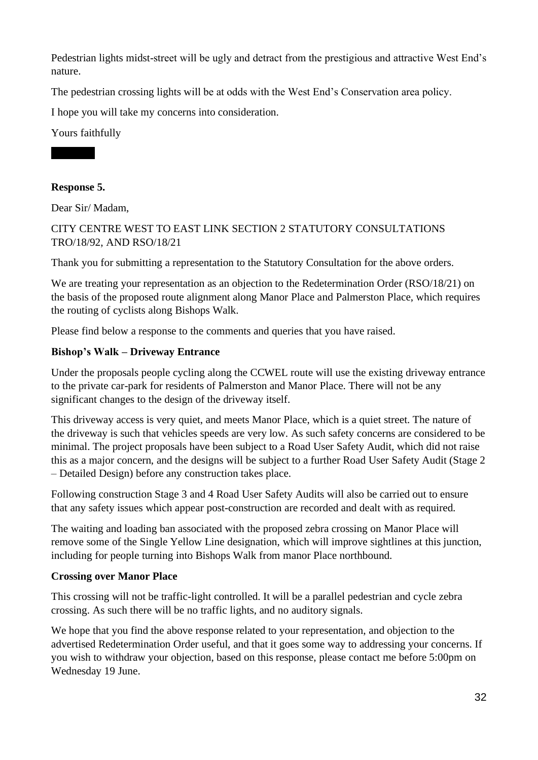Pedestrian lights midst-street will be ugly and detract from the prestigious and attractive West End's nature.

The pedestrian crossing lights will be at odds with the West End's Conservation area policy.

I hope you will take my concerns into consideration.

Yours faithfully



#### **Response 5.**

Dear Sir/ Madam,

CITY CENTRE WEST TO EAST LINK SECTION 2 STATUTORY CONSULTATIONS TRO/18/92, AND RSO/18/21

Thank you for submitting a representation to the Statutory Consultation for the above orders.

We are treating your representation as an objection to the Redetermination Order (RSO/18/21) on the basis of the proposed route alignment along Manor Place and Palmerston Place, which requires the routing of cyclists along Bishops Walk.

Please find below a response to the comments and queries that you have raised.

#### **Bishop's Walk – Driveway Entrance**

Under the proposals people cycling along the CCWEL route will use the existing driveway entrance to the private car-park for residents of Palmerston and Manor Place. There will not be any significant changes to the design of the driveway itself.

This driveway access is very quiet, and meets Manor Place, which is a quiet street. The nature of the driveway is such that vehicles speeds are very low. As such safety concerns are considered to be minimal. The project proposals have been subject to a Road User Safety Audit, which did not raise this as a major concern, and the designs will be subject to a further Road User Safety Audit (Stage 2 – Detailed Design) before any construction takes place.

Following construction Stage 3 and 4 Road User Safety Audits will also be carried out to ensure that any safety issues which appear post-construction are recorded and dealt with as required.

The waiting and loading ban associated with the proposed zebra crossing on Manor Place will remove some of the Single Yellow Line designation, which will improve sightlines at this junction, including for people turning into Bishops Walk from manor Place northbound.

#### **Crossing over Manor Place**

This crossing will not be traffic-light controlled. It will be a parallel pedestrian and cycle zebra crossing. As such there will be no traffic lights, and no auditory signals.

We hope that you find the above response related to your representation, and objection to the advertised Redetermination Order useful, and that it goes some way to addressing your concerns. If you wish to withdraw your objection, based on this response, please contact me before 5:00pm on Wednesday 19 June.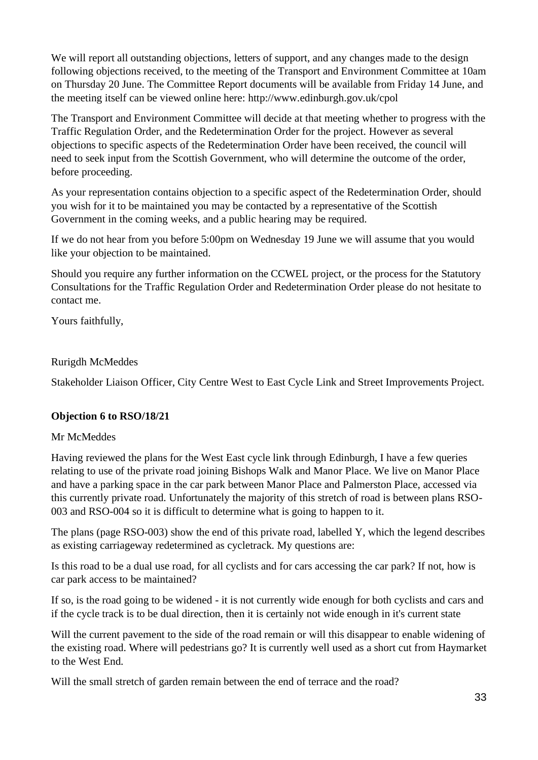We will report all outstanding objections, letters of support, and any changes made to the design following objections received, to the meeting of the Transport and Environment Committee at 10am on Thursday 20 June. The Committee Report documents will be available from Friday 14 June, and the meeting itself can be viewed online here: http://www.edinburgh.gov.uk/cpol

The Transport and Environment Committee will decide at that meeting whether to progress with the Traffic Regulation Order, and the Redetermination Order for the project. However as several objections to specific aspects of the Redetermination Order have been received, the council will need to seek input from the Scottish Government, who will determine the outcome of the order, before proceeding.

As your representation contains objection to a specific aspect of the Redetermination Order, should you wish for it to be maintained you may be contacted by a representative of the Scottish Government in the coming weeks, and a public hearing may be required.

If we do not hear from you before 5:00pm on Wednesday 19 June we will assume that you would like your objection to be maintained.

Should you require any further information on the CCWEL project, or the process for the Statutory Consultations for the Traffic Regulation Order and Redetermination Order please do not hesitate to contact me.

Yours faithfully,

#### Rurigdh McMeddes

Stakeholder Liaison Officer, City Centre West to East Cycle Link and Street Improvements Project.

#### **Objection 6 to RSO/18/21**

#### Mr McMeddes

Having reviewed the plans for the West East cycle link through Edinburgh, I have a few queries relating to use of the private road joining Bishops Walk and Manor Place. We live on Manor Place and have a parking space in the car park between Manor Place and Palmerston Place, accessed via this currently private road. Unfortunately the majority of this stretch of road is between plans RSO-003 and RSO-004 so it is difficult to determine what is going to happen to it.

The plans (page RSO-003) show the end of this private road, labelled Y, which the legend describes as existing carriageway redetermined as cycletrack. My questions are:

Is this road to be a dual use road, for all cyclists and for cars accessing the car park? If not, how is car park access to be maintained?

If so, is the road going to be widened - it is not currently wide enough for both cyclists and cars and if the cycle track is to be dual direction, then it is certainly not wide enough in it's current state

Will the current pavement to the side of the road remain or will this disappear to enable widening of the existing road. Where will pedestrians go? It is currently well used as a short cut from Haymarket to the West End.

Will the small stretch of garden remain between the end of terrace and the road?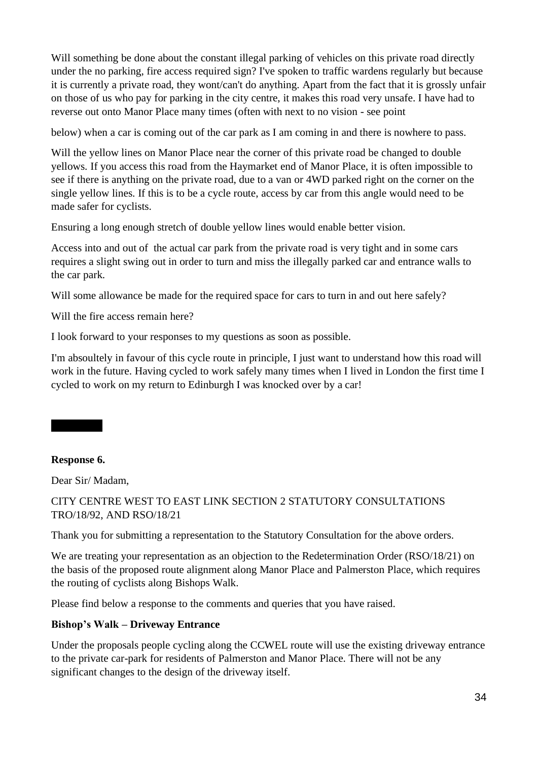Will something be done about the constant illegal parking of vehicles on this private road directly under the no parking, fire access required sign? I've spoken to traffic wardens regularly but because it is currently a private road, they wont/can't do anything. Apart from the fact that it is grossly unfair on those of us who pay for parking in the city centre, it makes this road very unsafe. I have had to reverse out onto Manor Place many times (often with next to no vision - see point

below) when a car is coming out of the car park as I am coming in and there is nowhere to pass.

Will the yellow lines on Manor Place near the corner of this private road be changed to double yellows. If you access this road from the Haymarket end of Manor Place, it is often impossible to see if there is anything on the private road, due to a van or 4WD parked right on the corner on the single yellow lines. If this is to be a cycle route, access by car from this angle would need to be made safer for cyclists.

Ensuring a long enough stretch of double yellow lines would enable better vision.

Access into and out of the actual car park from the private road is very tight and in some cars requires a slight swing out in order to turn and miss the illegally parked car and entrance walls to the car park.

Will some allowance be made for the required space for cars to turn in and out here safely?

Will the fire access remain here?

I look forward to your responses to my questions as soon as possible.

I'm absoultely in favour of this cycle route in principle, I just want to understand how this road will work in the future. Having cycled to work safely many times when I lived in London the first time I cycled to work on my return to Edinburgh I was knocked over by a car!

#### **Response 6.**

Sally Green

Dear Sir/ Madam,

CITY CENTRE WEST TO EAST LINK SECTION 2 STATUTORY CONSULTATIONS TRO/18/92, AND RSO/18/21

Thank you for submitting a representation to the Statutory Consultation for the above orders.

We are treating your representation as an objection to the Redetermination Order (RSO/18/21) on the basis of the proposed route alignment along Manor Place and Palmerston Place, which requires the routing of cyclists along Bishops Walk.

Please find below a response to the comments and queries that you have raised.

#### **Bishop's Walk – Driveway Entrance**

Under the proposals people cycling along the CCWEL route will use the existing driveway entrance to the private car-park for residents of Palmerston and Manor Place. There will not be any significant changes to the design of the driveway itself.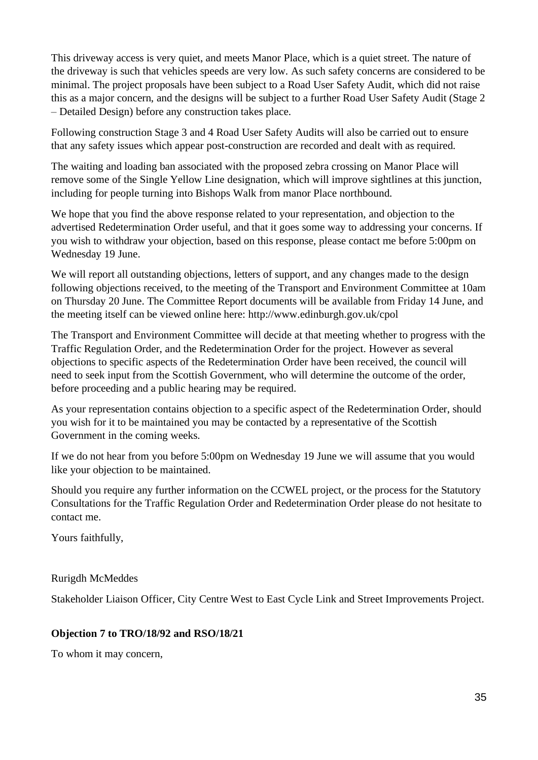This driveway access is very quiet, and meets Manor Place, which is a quiet street. The nature of the driveway is such that vehicles speeds are very low. As such safety concerns are considered to be minimal. The project proposals have been subject to a Road User Safety Audit, which did not raise this as a major concern, and the designs will be subject to a further Road User Safety Audit (Stage 2 – Detailed Design) before any construction takes place.

Following construction Stage 3 and 4 Road User Safety Audits will also be carried out to ensure that any safety issues which appear post-construction are recorded and dealt with as required.

The waiting and loading ban associated with the proposed zebra crossing on Manor Place will remove some of the Single Yellow Line designation, which will improve sightlines at this junction, including for people turning into Bishops Walk from manor Place northbound.

We hope that you find the above response related to your representation, and objection to the advertised Redetermination Order useful, and that it goes some way to addressing your concerns. If you wish to withdraw your objection, based on this response, please contact me before 5:00pm on Wednesday 19 June.

We will report all outstanding objections, letters of support, and any changes made to the design following objections received, to the meeting of the Transport and Environment Committee at 10am on Thursday 20 June. The Committee Report documents will be available from Friday 14 June, and the meeting itself can be viewed online here: http://www.edinburgh.gov.uk/cpol

The Transport and Environment Committee will decide at that meeting whether to progress with the Traffic Regulation Order, and the Redetermination Order for the project. However as several objections to specific aspects of the Redetermination Order have been received, the council will need to seek input from the Scottish Government, who will determine the outcome of the order, before proceeding and a public hearing may be required.

As your representation contains objection to a specific aspect of the Redetermination Order, should you wish for it to be maintained you may be contacted by a representative of the Scottish Government in the coming weeks.

If we do not hear from you before 5:00pm on Wednesday 19 June we will assume that you would like your objection to be maintained.

Should you require any further information on the CCWEL project, or the process for the Statutory Consultations for the Traffic Regulation Order and Redetermination Order please do not hesitate to contact me.

Yours faithfully,

Rurigdh McMeddes

Stakeholder Liaison Officer, City Centre West to East Cycle Link and Street Improvements Project.

#### **Objection 7 to TRO/18/92 and RSO/18/21**

To whom it may concern,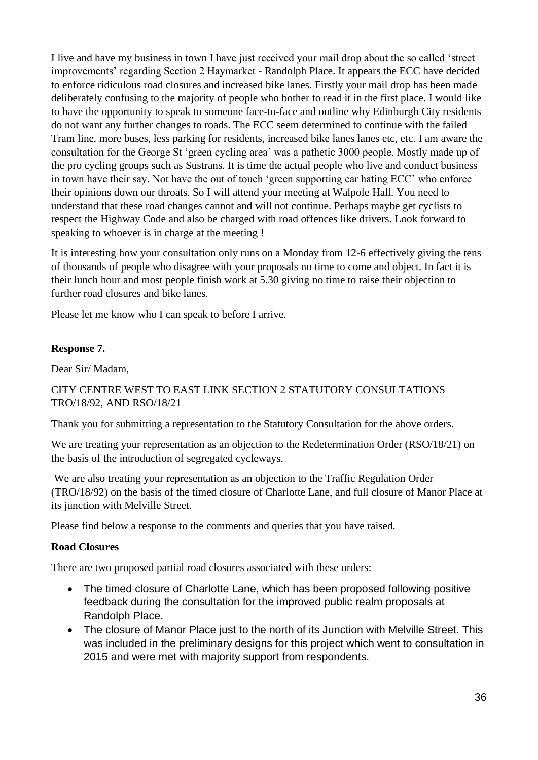I live and have my business in town I have just received your mail drop about the so called 'street improvements' regarding Section 2 Haymarket - Randolph Place. It appears the ECC have decided to enforce ridiculous road closures and increased bike lanes. Firstly your mail drop has been made deliberately confusing to the majority of people who bother to read it in the first place. I would like to have the opportunity to speak to someone face-to-face and outline why Edinburgh City residents do not want any further changes to roads. The ECC seem determined to continue with the failed Tram line, more buses, less parking for residents, increased bike lanes lanes etc, etc. I am aware the consultation for the George St 'green cycling area' was a pathetic 3000 people. Mostly made up of the pro cycling groups such as Sustrans. It is time the actual people who live and conduct business in town have their say. Not have the out of touch 'green supporting car hating ECC' who enforce their opinions down our throats. So I will attend your meeting at Walpole Hall. You need to understand that these road changes cannot and will not continue. Perhaps maybe get cyclists to respect the Highway Code and also be charged with road offences like drivers. Look forward to speaking to whoever is in charge at the meeting !

It is interesting how your consultation only runs on a Monday from 12-6 effectively giving the tens of thousands of people who disagree with your proposals no time to come and object. In fact it is their lunch hour and most people finish work at 5.30 giving no time to raise their objection to further road closures and bike lanes.

Please let me know who I can speak to before I arrive.

#### **Response 7.**

Dear Sir/ Madam,

#### CITY CENTRE WEST TO EAST LINK SECTION 2 STATUTORY CONSULTATIONS TRO/18/92, AND RSO/18/21

Thank you for submitting a representation to the Statutory Consultation for the above orders.

We are treating your representation as an objection to the Redetermination Order (RSO/18/21) on the basis of the introduction of segregated cycleways.

We are also treating your representation as an objection to the Traffic Regulation Order (TRO/18/92) on the basis of the timed closure of Charlotte Lane, and full closure of Manor Place at its junction with Melville Street.

Please find below a response to the comments and queries that you have raised.

#### **Road Closures**

There are two proposed partial road closures associated with these orders:

- The timed closure of Charlotte Lane, which has been proposed following positive feedback during the consultation for the improved public realm proposals at Randolph Place.
- The closure of Manor Place just to the north of its Junction with Melville Street. This was included in the preliminary designs for this project which went to consultation in 2015 and were met with majority support from respondents.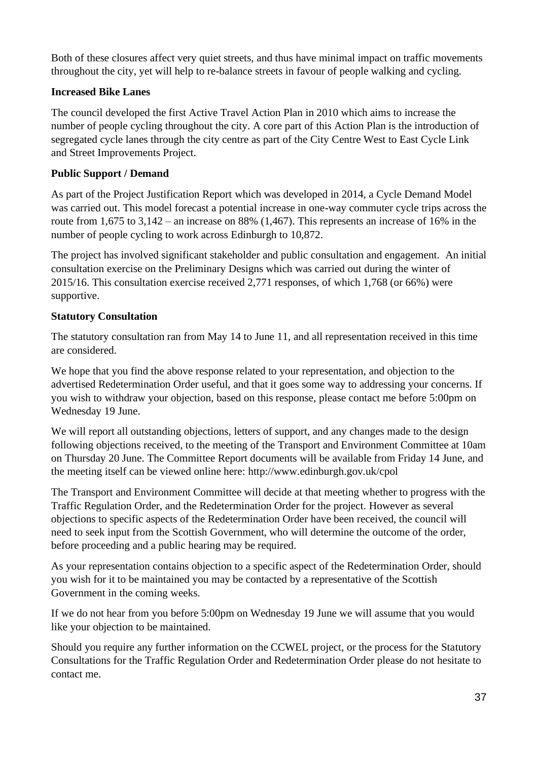Both of these closures affect very quiet streets, and thus have minimal impact on traffic movements throughout the city, yet will help to re-balance streets in favour of people walking and cycling.

#### **Increased Bike Lanes**

The council developed the first Active Travel Action Plan in 2010 which aims to increase the number of people cycling throughout the city. A core part of this Action Plan is the introduction of segregated cycle lanes through the city centre as part of the City Centre West to East Cycle Link and Street Improvements Project.

#### **Public Support / Demand**

As part of the Project Justification Report which was developed in 2014, a Cycle Demand Model was carried out. This model forecast a potential increase in one-way commuter cycle trips across the route from 1,675 to  $3,142$  – an increase on 88% (1,467). This represents an increase of 16% in the number of people cycling to work across Edinburgh to 10,872.

The project has involved significant stakeholder and public consultation and engagement. An initial consultation exercise on the Preliminary Designs which was carried out during the winter of 2015/16. This consultation exercise received 2,771 responses, of which 1,768 (or 66%) were supportive.

#### **Statutory Consultation**

The statutory consultation ran from May 14 to June 11, and all representation received in this time are considered.

We hope that you find the above response related to your representation, and objection to the advertised Redetermination Order useful, and that it goes some way to addressing your concerns. If you wish to withdraw your objection, based on this response, please contact me before 5:00pm on Wednesday 19 June.

We will report all outstanding objections, letters of support, and any changes made to the design following objections received, to the meeting of the Transport and Environment Committee at 10am on Thursday 20 June. The Committee Report documents will be available from Friday 14 June, and the meeting itself can be viewed online here: http://www.edinburgh.gov.uk/cpol

The Transport and Environment Committee will decide at that meeting whether to progress with the Traffic Regulation Order, and the Redetermination Order for the project. However as several objections to specific aspects of the Redetermination Order have been received, the council will need to seek input from the Scottish Government, who will determine the outcome of the order, before proceeding and a public hearing may be required.

As your representation contains objection to a specific aspect of the Redetermination Order, should you wish for it to be maintained you may be contacted by a representative of the Scottish Government in the coming weeks.

If we do not hear from you before 5:00pm on Wednesday 19 June we will assume that you would like your objection to be maintained.

Should you require any further information on the CCWEL project, or the process for the Statutory Consultations for the Traffic Regulation Order and Redetermination Order please do not hesitate to contact me.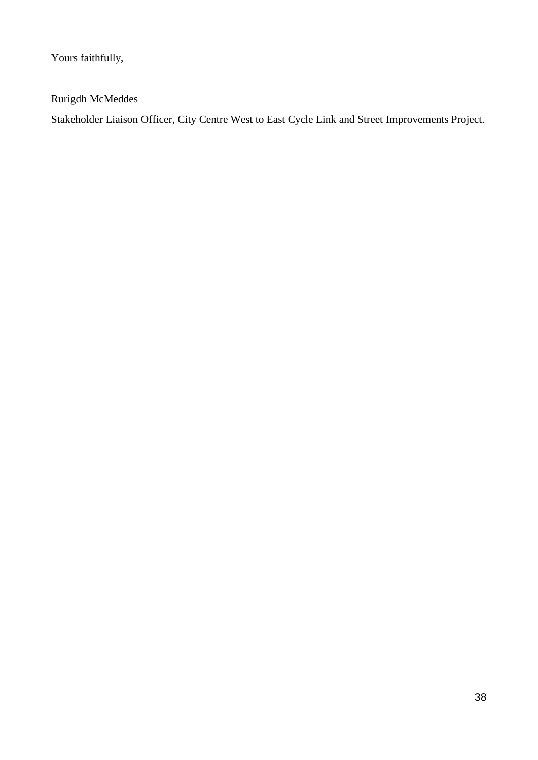Yours faithfully,

Rurigdh McMeddes

Stakeholder Liaison Officer, City Centre West to East Cycle Link and Street Improvements Project.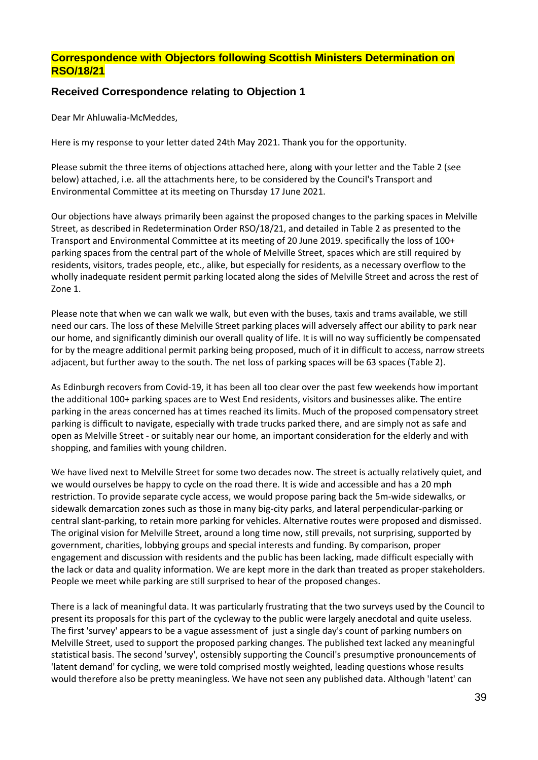#### **Correspondence with Objectors following Scottish Ministers Determination on RSO/18/21**

#### **Received Correspondence relating to Objection 1**

Dear Mr Ahluwalia-McMeddes,

Here is my response to your letter dated 24th May 2021. Thank you for the opportunity.

Please submit the three items of objections attached here, along with your letter and the Table 2 (see below) attached, i.e. all the attachments here, to be considered by the Council's Transport and Environmental Committee at its meeting on Thursday 17 June 2021.

Our objections have always primarily been against the proposed changes to the parking spaces in Melville Street, as described in Redetermination Order RSO/18/21, and detailed in Table 2 as presented to the Transport and Environmental Committee at its meeting of 20 June 2019. specifically the loss of 100+ parking spaces from the central part of the whole of Melville Street, spaces which are still required by residents, visitors, trades people, etc., alike, but especially for residents, as a necessary overflow to the wholly inadequate resident permit parking located along the sides of Melville Street and across the rest of Zone 1.

Please note that when we can walk we walk, but even with the buses, taxis and trams available, we still need our cars. The loss of these Melville Street parking places will adversely affect our ability to park near our home, and significantly diminish our overall quality of life. It is will no way sufficiently be compensated for by the meagre additional permit parking being proposed, much of it in difficult to access, narrow streets adjacent, but further away to the south. The net loss of parking spaces will be 63 spaces (Table 2).

As Edinburgh recovers from Covid-19, it has been all too clear over the past few weekends how important the additional 100+ parking spaces are to West End residents, visitors and businesses alike. The entire parking in the areas concerned has at times reached its limits. Much of the proposed compensatory street parking is difficult to navigate, especially with trade trucks parked there, and are simply not as safe and open as Melville Street - or suitably near our home, an important consideration for the elderly and with shopping, and families with young children.

We have lived next to Melville Street for some two decades now. The street is actually relatively quiet, and we would ourselves be happy to cycle on the road there. It is wide and accessible and has a 20 mph restriction. To provide separate cycle access, we would propose paring back the 5m-wide sidewalks, or sidewalk demarcation zones such as those in many big-city parks, and lateral perpendicular-parking or central slant-parking, to retain more parking for vehicles. Alternative routes were proposed and dismissed. The original vision for Melville Street, around a long time now, still prevails, not surprising, supported by government, charities, lobbying groups and special interests and funding. By comparison, proper engagement and discussion with residents and the public has been lacking, made difficult especially with the lack or data and quality information. We are kept more in the dark than treated as proper stakeholders. People we meet while parking are still surprised to hear of the proposed changes.

There is a lack of meaningful data. It was particularly frustrating that the two surveys used by the Council to present its proposals for this part of the cycleway to the public were largely anecdotal and quite useless. The first 'survey' appears to be a vague assessment of just a single day's count of parking numbers on Melville Street, used to support the proposed parking changes. The published text lacked any meaningful statistical basis. The second 'survey', ostensibly supporting the Council's presumptive pronouncements of 'latent demand' for cycling, we were told comprised mostly weighted, leading questions whose results would therefore also be pretty meaningless. We have not seen any published data. Although 'latent' can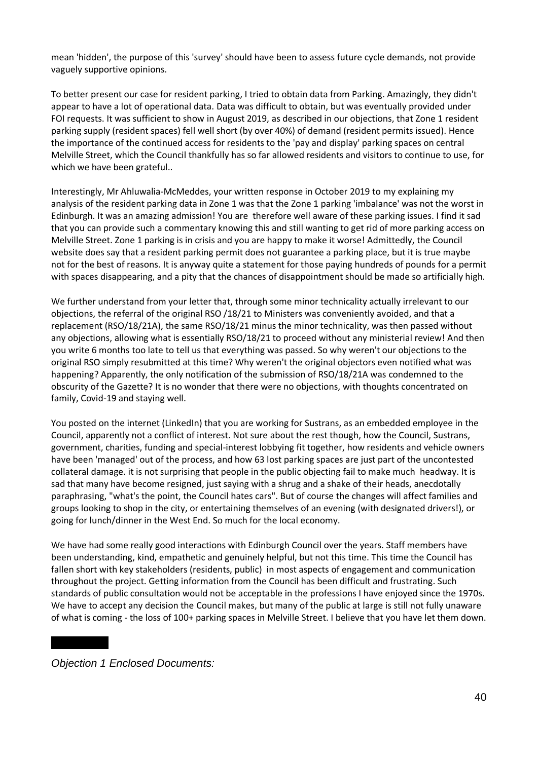mean 'hidden', the purpose of this 'survey' should have been to assess future cycle demands, not provide vaguely supportive opinions.

To better present our case for resident parking, I tried to obtain data from Parking. Amazingly, they didn't appear to have a lot of operational data. Data was difficult to obtain, but was eventually provided under FOI requests. It was sufficient to show in August 2019, as described in our objections, that Zone 1 resident parking supply (resident spaces) fell well short (by over 40%) of demand (resident permits issued). Hence the importance of the continued access for residents to the 'pay and display' parking spaces on central Melville Street, which the Council thankfully has so far allowed residents and visitors to continue to use, for which we have been grateful..

Interestingly, Mr Ahluwalia-McMeddes, your written response in October 2019 to my explaining my analysis of the resident parking data in Zone 1 was that the Zone 1 parking 'imbalance' was not the worst in Edinburgh. It was an amazing admission! You are therefore well aware of these parking issues. I find it sad that you can provide such a commentary knowing this and still wanting to get rid of more parking access on Melville Street. Zone 1 parking is in crisis and you are happy to make it worse! Admittedly, the Council website does say that a resident parking permit does not guarantee a parking place, but it is true maybe not for the best of reasons. It is anyway quite a statement for those paying hundreds of pounds for a permit with spaces disappearing, and a pity that the chances of disappointment should be made so artificially high.

We further understand from your letter that, through some minor technicality actually irrelevant to our objections, the referral of the original RSO /18/21 to Ministers was conveniently avoided, and that a replacement (RSO/18/21A), the same RSO/18/21 minus the minor technicality, was then passed without any objections, allowing what is essentially RSO/18/21 to proceed without any ministerial review! And then you write 6 months too late to tell us that everything was passed. So why weren't our objections to the original RSO simply resubmitted at this time? Why weren't the original objectors even notified what was happening? Apparently, the only notification of the submission of RSO/18/21A was condemned to the obscurity of the Gazette? It is no wonder that there were no objections, with thoughts concentrated on family, Covid-19 and staying well.

You posted on the internet (LinkedIn) that you are working for Sustrans, as an embedded employee in the Council, apparently not a conflict of interest. Not sure about the rest though, how the Council, Sustrans, government, charities, funding and special-interest lobbying fit together, how residents and vehicle owners have been 'managed' out of the process, and how 63 lost parking spaces are just part of the uncontested collateral damage. it is not surprising that people in the public objecting fail to make much headway. It is sad that many have become resigned, just saying with a shrug and a shake of their heads, anecdotally paraphrasing, "what's the point, the Council hates cars". But of course the changes will affect families and groups looking to shop in the city, or entertaining themselves of an evening (with designated drivers!), or going for lunch/dinner in the West End. So much for the local economy.

We have had some really good interactions with Edinburgh Council over the years. Staff members have been understanding, kind, empathetic and genuinely helpful, but not this time. This time the Council has fallen short with key stakeholders (residents, public) in most aspects of engagement and communication throughout the project. Getting information from the Council has been difficult and frustrating. Such standards of public consultation would not be acceptable in the professions I have enjoyed since the 1970s. We have to accept any decision the Council makes, but many of the public at large is still not fully unaware of what is coming - the loss of 100+ parking spaces in Melville Street. I believe that you have let them down.

*Objection 1 Enclosed Documents:*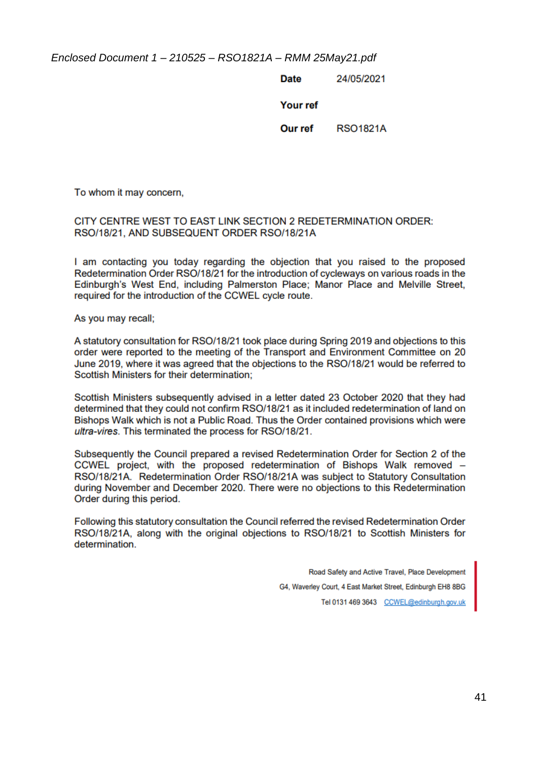*Enclosed Document 1 – 210525 – RSO1821A – RMM 25May21.pdf*

**Date** 24/05/2021

Your ref

Our ref **RSO1821A** 

To whom it may concern,

#### CITY CENTRE WEST TO EAST LINK SECTION 2 REDETERMINATION ORDER: RSO/18/21, AND SUBSEQUENT ORDER RSO/18/21A

I am contacting you today regarding the objection that you raised to the proposed Redetermination Order RSO/18/21 for the introduction of cycleways on various roads in the Edinburgh's West End, including Palmerston Place; Manor Place and Melville Street, required for the introduction of the CCWEL cycle route.

As you may recall;

A statutory consultation for RSO/18/21 took place during Spring 2019 and objections to this order were reported to the meeting of the Transport and Environment Committee on 20 June 2019, where it was agreed that the objections to the RSO/18/21 would be referred to Scottish Ministers for their determination:

Scottish Ministers subsequently advised in a letter dated 23 October 2020 that they had determined that they could not confirm RSO/18/21 as it included redetermination of land on Bishops Walk which is not a Public Road. Thus the Order contained provisions which were ultra-vires. This terminated the process for RSO/18/21.

Subsequently the Council prepared a revised Redetermination Order for Section 2 of the CCWEL project, with the proposed redetermination of Bishops Walk removed -RSO/18/21A. Redetermination Order RSO/18/21A was subject to Statutory Consultation during November and December 2020. There were no objections to this Redetermination Order during this period.

Following this statutory consultation the Council referred the revised Redetermination Order RSO/18/21A, along with the original objections to RSO/18/21 to Scottish Ministers for determination

> Road Safety and Active Travel, Place Development G4, Waverley Court, 4 East Market Street, Edinburgh EH8 8BG Tel 0131 469 3643 CCWEL@edinburgh.gov.uk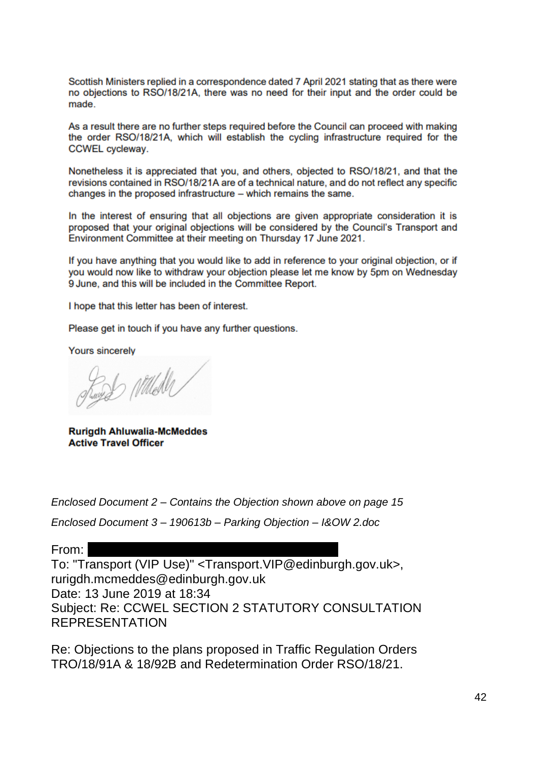Scottish Ministers replied in a correspondence dated 7 April 2021 stating that as there were no objections to RSO/18/21A, there was no need for their input and the order could be made.

As a result there are no further steps required before the Council can proceed with making the order RSO/18/21A, which will establish the cycling infrastructure required for the **CCWEL** cycleway.

Nonetheless it is appreciated that you, and others, objected to RSO/18/21, and that the revisions contained in RSO/18/21A are of a technical nature, and do not reflect any specific changes in the proposed infrastructure – which remains the same.

In the interest of ensuring that all objections are given appropriate consideration it is proposed that your original objections will be considered by the Council's Transport and Environment Committee at their meeting on Thursday 17 June 2021.

If you have anything that you would like to add in reference to your original objection, or if you would now like to withdraw your objection please let me know by 5pm on Wednesday 9 June, and this will be included in the Committee Report.

I hope that this letter has been of interest.

Please get in touch if you have any further questions.

**Yours sincerely** 

Rugger Milleder

**Rurigdh Ahluwalia-McMeddes Active Travel Officer** 

*Enclosed Document 2 – Contains the Objection shown above on page 15*

*Enclosed Document 3 – 190613b – Parking Objection – I&OW 2.doc*

From: woollen ian woollen ian woollen ian woollen ian woollen ian woollen ian woollen ian woollen ian woollen

To: "Transport (VIP Use)" <Transport.VIP@edinburgh.gov.uk>, rurigdh.mcmeddes@edinburgh.gov.uk Date: 13 June 2019 at 18:34 Subject: Re: CCWEL SECTION 2 STATUTORY CONSULTATION REPRESENTATION

Re: Objections to the plans proposed in Traffic Regulation Orders TRO/18/91A & 18/92B and Redetermination Order RSO/18/21.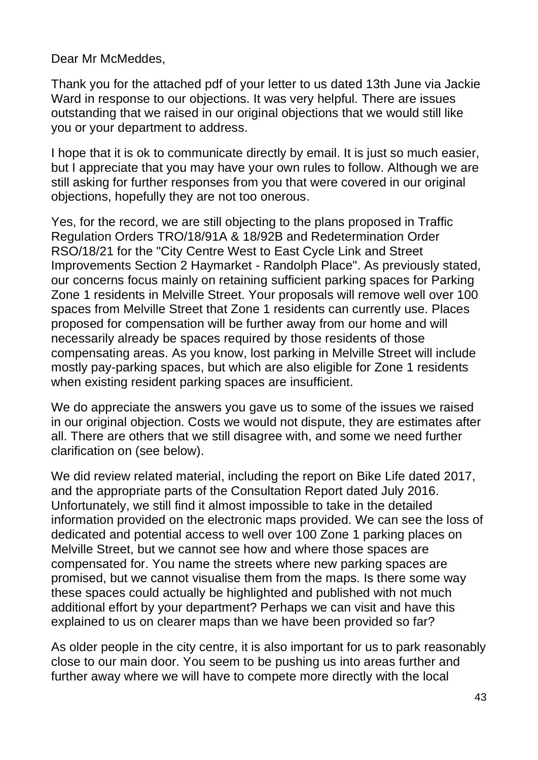Dear Mr McMeddes,

Thank you for the attached pdf of your letter to us dated 13th June via Jackie Ward in response to our objections. It was very helpful. There are issues outstanding that we raised in our original objections that we would still like you or your department to address.

I hope that it is ok to communicate directly by email. It is just so much easier, but I appreciate that you may have your own rules to follow. Although we are still asking for further responses from you that were covered in our original objections, hopefully they are not too onerous.

Yes, for the record, we are still objecting to the plans proposed in Traffic Regulation Orders TRO/18/91A & 18/92B and Redetermination Order RSO/18/21 for the "City Centre West to East Cycle Link and Street Improvements Section 2 Haymarket - Randolph Place". As previously stated, our concerns focus mainly on retaining sufficient parking spaces for Parking Zone 1 residents in Melville Street. Your proposals will remove well over 100 spaces from Melville Street that Zone 1 residents can currently use. Places proposed for compensation will be further away from our home and will necessarily already be spaces required by those residents of those compensating areas. As you know, lost parking in Melville Street will include mostly pay-parking spaces, but which are also eligible for Zone 1 residents when existing resident parking spaces are insufficient.

We do appreciate the answers you gave us to some of the issues we raised in our original objection. Costs we would not dispute, they are estimates after all. There are others that we still disagree with, and some we need further clarification on (see below).

We did review related material, including the report on Bike Life dated 2017, and the appropriate parts of the Consultation Report dated July 2016. Unfortunately, we still find it almost impossible to take in the detailed information provided on the electronic maps provided. We can see the loss of dedicated and potential access to well over 100 Zone 1 parking places on Melville Street, but we cannot see how and where those spaces are compensated for. You name the streets where new parking spaces are promised, but we cannot visualise them from the maps. Is there some way these spaces could actually be highlighted and published with not much additional effort by your department? Perhaps we can visit and have this explained to us on clearer maps than we have been provided so far?

As older people in the city centre, it is also important for us to park reasonably close to our main door. You seem to be pushing us into areas further and further away where we will have to compete more directly with the local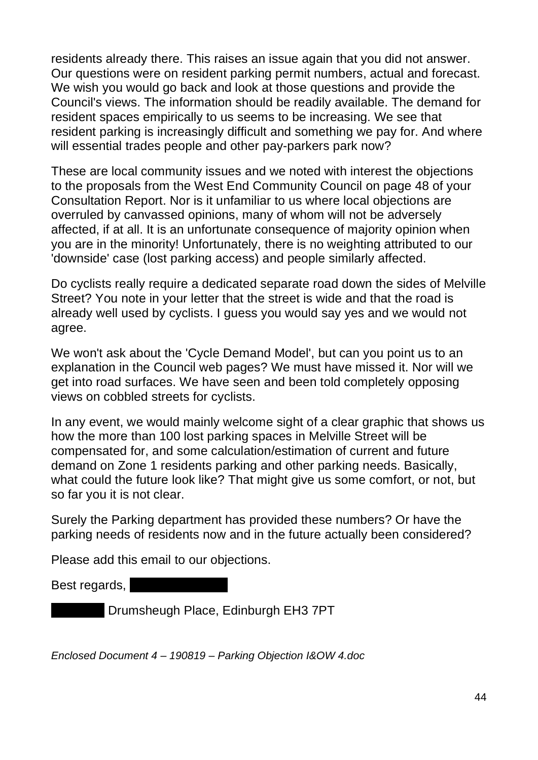residents already there. This raises an issue again that you did not answer. Our questions were on resident parking permit numbers, actual and forecast. We wish you would go back and look at those questions and provide the Council's views. The information should be readily available. The demand for resident spaces empirically to us seems to be increasing. We see that resident parking is increasingly difficult and something we pay for. And where will essential trades people and other pay-parkers park now?

These are local community issues and we noted with interest the objections to the proposals from the West End Community Council on page 48 of your Consultation Report. Nor is it unfamiliar to us where local objections are overruled by canvassed opinions, many of whom will not be adversely affected, if at all. It is an unfortunate consequence of majority opinion when you are in the minority! Unfortunately, there is no weighting attributed to our 'downside' case (lost parking access) and people similarly affected.

Do cyclists really require a dedicated separate road down the sides of Melville Street? You note in your letter that the street is wide and that the road is already well used by cyclists. I guess you would say yes and we would not agree.

We won't ask about the 'Cycle Demand Model', but can you point us to an explanation in the Council web pages? We must have missed it. Nor will we get into road surfaces. We have seen and been told completely opposing views on cobbled streets for cyclists.

In any event, we would mainly welcome sight of a clear graphic that shows us how the more than 100 lost parking spaces in Melville Street will be compensated for, and some calculation/estimation of current and future demand on Zone 1 residents parking and other parking needs. Basically, what could the future look like? That might give us some comfort, or not, but so far you it is not clear.

Surely the Parking department has provided these numbers? Or have the parking needs of residents now and in the future actually been considered?

Please add this email to our objections.

Best regards,

Drumsheugh Place, Edinburgh EH3 7PT

*Enclosed Document 4 – 190819 – Parking Objection I&OW 4.doc*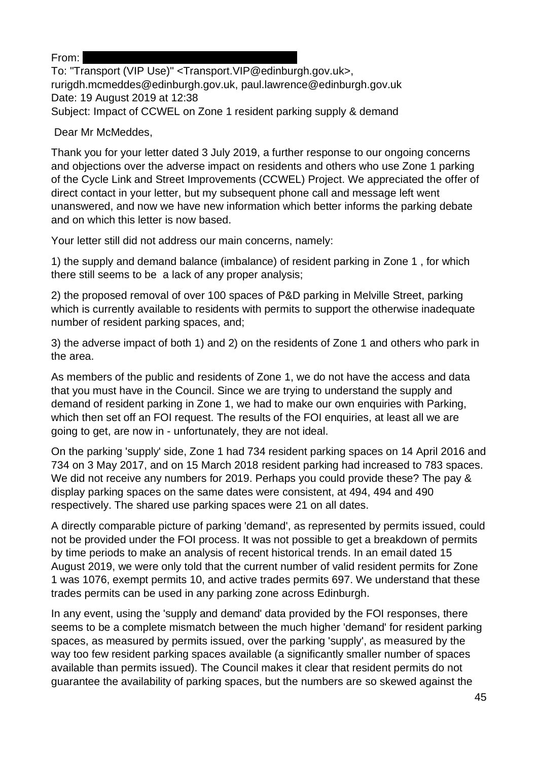From:

To: "Transport (VIP Use)" <Transport.VIP@edinburgh.gov.uk>, rurigdh.mcmeddes@edinburgh.gov.uk, paul.lawrence@edinburgh.gov.uk Date: 19 August 2019 at 12:38 Subject: Impact of CCWEL on Zone 1 resident parking supply & demand

Dear Mr McMeddes,

Thank you for your letter dated 3 July 2019, a further response to our ongoing concerns and objections over the adverse impact on residents and others who use Zone 1 parking of the Cycle Link and Street Improvements (CCWEL) Project. We appreciated the offer of direct contact in your letter, but my subsequent phone call and message left went unanswered, and now we have new information which better informs the parking debate and on which this letter is now based.

Your letter still did not address our main concerns, namely:

1) the supply and demand balance (imbalance) of resident parking in Zone 1 , for which there still seems to be a lack of any proper analysis;

2) the proposed removal of over 100 spaces of P&D parking in Melville Street, parking which is currently available to residents with permits to support the otherwise inadequate number of resident parking spaces, and;

3) the adverse impact of both 1) and 2) on the residents of Zone 1 and others who park in the area.

As members of the public and residents of Zone 1, we do not have the access and data that you must have in the Council. Since we are trying to understand the supply and demand of resident parking in Zone 1, we had to make our own enquiries with Parking, which then set off an FOI request. The results of the FOI enquiries, at least all we are going to get, are now in - unfortunately, they are not ideal.

On the parking 'supply' side, Zone 1 had 734 resident parking spaces on 14 April 2016 and 734 on 3 May 2017, and on 15 March 2018 resident parking had increased to 783 spaces. We did not receive any numbers for 2019. Perhaps you could provide these? The pay & display parking spaces on the same dates were consistent, at 494, 494 and 490 respectively. The shared use parking spaces were 21 on all dates.

A directly comparable picture of parking 'demand', as represented by permits issued, could not be provided under the FOI process. It was not possible to get a breakdown of permits by time periods to make an analysis of recent historical trends. In an email dated 15 August 2019, we were only told that the current number of valid resident permits for Zone 1 was 1076, exempt permits 10, and active trades permits 697. We understand that these trades permits can be used in any parking zone across Edinburgh.

In any event, using the 'supply and demand' data provided by the FOI responses, there seems to be a complete mismatch between the much higher 'demand' for resident parking spaces, as measured by permits issued, over the parking 'supply', as measured by the way too few resident parking spaces available (a significantly smaller number of spaces available than permits issued). The Council makes it clear that resident permits do not guarantee the availability of parking spaces, but the numbers are so skewed against the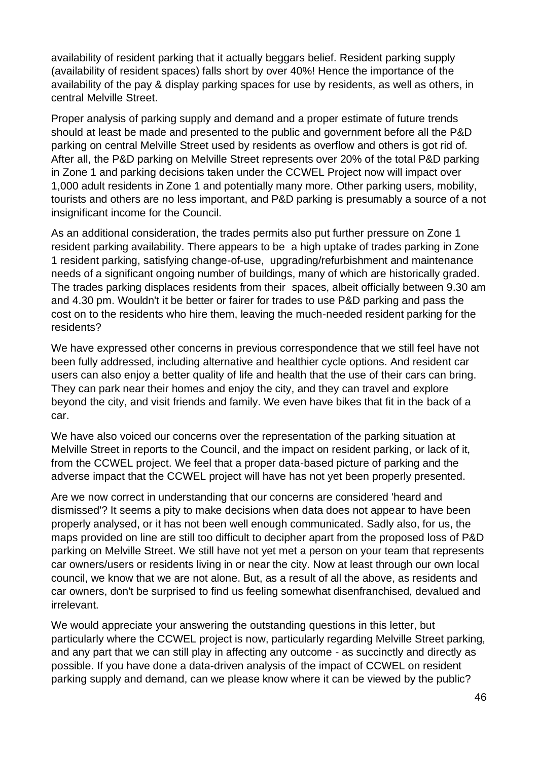availability of resident parking that it actually beggars belief. Resident parking supply (availability of resident spaces) falls short by over 40%! Hence the importance of the availability of the pay & display parking spaces for use by residents, as well as others, in central Melville Street.

Proper analysis of parking supply and demand and a proper estimate of future trends should at least be made and presented to the public and government before all the P&D parking on central Melville Street used by residents as overflow and others is got rid of. After all, the P&D parking on Melville Street represents over 20% of the total P&D parking in Zone 1 and parking decisions taken under the CCWEL Project now will impact over 1,000 adult residents in Zone 1 and potentially many more. Other parking users, mobility, tourists and others are no less important, and P&D parking is presumably a source of a not insignificant income for the Council.

As an additional consideration, the trades permits also put further pressure on Zone 1 resident parking availability. There appears to be a high uptake of trades parking in Zone 1 resident parking, satisfying change-of-use, upgrading/refurbishment and maintenance needs of a significant ongoing number of buildings, many of which are historically graded. The trades parking displaces residents from their spaces, albeit officially between 9.30 am and 4.30 pm. Wouldn't it be better or fairer for trades to use P&D parking and pass the cost on to the residents who hire them, leaving the much-needed resident parking for the residents?

We have expressed other concerns in previous correspondence that we still feel have not been fully addressed, including alternative and healthier cycle options. And resident car users can also enjoy a better quality of life and health that the use of their cars can bring. They can park near their homes and enjoy the city, and they can travel and explore beyond the city, and visit friends and family. We even have bikes that fit in the back of a car.

We have also voiced our concerns over the representation of the parking situation at Melville Street in reports to the Council, and the impact on resident parking, or lack of it, from the CCWEL project. We feel that a proper data-based picture of parking and the adverse impact that the CCWEL project will have has not yet been properly presented.

Are we now correct in understanding that our concerns are considered 'heard and dismissed'? It seems a pity to make decisions when data does not appear to have been properly analysed, or it has not been well enough communicated. Sadly also, for us, the maps provided on line are still too difficult to decipher apart from the proposed loss of P&D parking on Melville Street. We still have not yet met a person on your team that represents car owners/users or residents living in or near the city. Now at least through our own local council, we know that we are not alone. But, as a result of all the above, as residents and car owners, don't be surprised to find us feeling somewhat disenfranchised, devalued and irrelevant.

We would appreciate your answering the outstanding questions in this letter, but particularly where the CCWEL project is now, particularly regarding Melville Street parking, and any part that we can still play in affecting any outcome - as succinctly and directly as possible. If you have done a data-driven analysis of the impact of CCWEL on resident parking supply and demand, can we please know where it can be viewed by the public?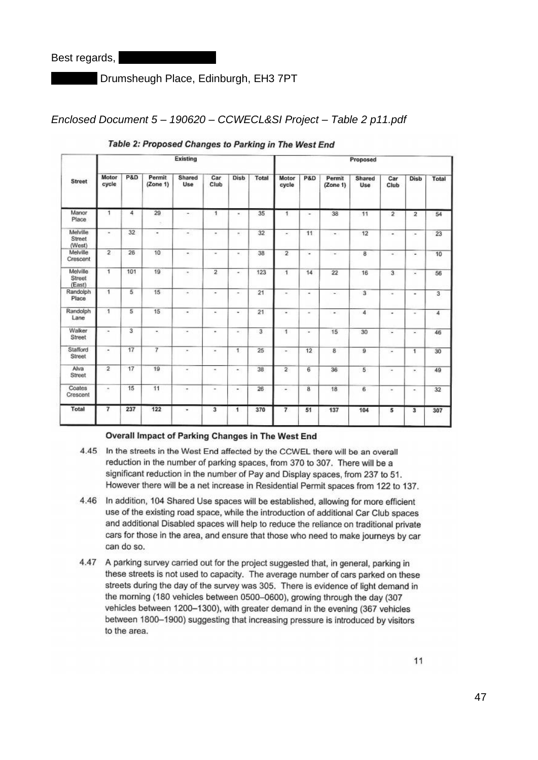Drumsheugh Place, Edinburgh, EH3 7PT

#### *Enclosed Document 5 – 190620 – CCWECL&SI Project – Table 2 p11.pdf*

|                              |                | Existing |                    |                       |                          |          |       |                          |                         | Proposed                 |                |                       |                          |       |  |
|------------------------------|----------------|----------|--------------------|-----------------------|--------------------------|----------|-------|--------------------------|-------------------------|--------------------------|----------------|-----------------------|--------------------------|-------|--|
| <b>Street</b>                | Motor<br>cycle | P&D      | Permit<br>(Zone 1) | Shared<br>Use         | Car<br>Club              | Disb     | Total | Motor<br>cycle           | <b>P&amp;D</b>          | Permit<br>(Zone 1)       | Shared<br>Use  | Car<br>Club           | Disb                     | Total |  |
| Manor<br>Place               | 1              | 4        | 29                 |                       | 1                        | ×.       | 35    | ٠                        | ۰                       | 38                       | 11             | $\overline{2}$        | $\overline{\mathbf{2}}$  | 54    |  |
| Melville<br>Street<br>(West) | ٠              | 32       | ٠                  | ۰                     | $\blacksquare$           | $\alpha$ | 32    | $\overline{\phantom{a}}$ | 11                      | $\overline{\phantom{a}}$ | 12             | $\blacksquare$        | $\overline{\phantom{a}}$ | 23    |  |
| Melville<br>Crescent         | $\overline{2}$ | 26       | 10                 | ÷.                    | $\overline{\phantom{a}}$ | $\pm$    | 38    | $\overline{2}$           | ٠                       | $\overline{\phantom{a}}$ | 8              | ×,                    | ä,                       | 10    |  |
| Melville<br>Street<br>(East) | $\overline{1}$ | 101      | 19                 | $\scriptstyle\rm m$   | $\overline{2}$           | ×.       | 123   | $\overline{1}$           | 14                      | 22                       | 16             | 3                     | $\overline{\phantom{a}}$ | 56    |  |
| Randolph<br>Place            | $\overline{1}$ | 5        | 15                 | $\omega$              | $\overline{a}$           | ۰        | 21    | $\sim$                   | $\sim$                  | $\ddot{}$                | 3              | $\alpha$              | ٠                        | 3     |  |
| Randolph<br>Lane             | $\mathbf{1}$   | 5        | 15                 | ۰                     | $\frac{1}{2}$            | ٠        | 21    | ٠                        | $\blacksquare$          | $\omega$                 | 4              | ٠                     | ۰                        | 4     |  |
| Walker<br>Street             | $\sim$         | 3        | $\ddot{}$          | ۰                     | ٠                        | $\equiv$ | 3     | $\overline{1}$           | ٠                       | 15                       | 30             | ×                     | $\overline{\phantom{a}}$ | 46    |  |
| Stafford<br>Street           | ۰              | 17       | $\overline{7}$     | $\equiv$              | $\blacksquare$           | 1        | 25    | $\overline{\phantom{a}}$ | 12                      | 8                        | $\overline{9}$ | ÷                     | $\mathbf{1}$             | 30    |  |
| Alva<br>Street               | $\overline{2}$ | 17       | 19                 | $\,$                  | ٠                        | ×.       | 38    | $\overline{2}$           | 6                       | 36                       | 5              | $\tilde{\phantom{a}}$ | ۰                        | 49    |  |
| Coates<br>Crescent           | $\sim$         | 15       | 11                 | $\scriptstyle\bullet$ | $\,$                     | ×,       | 26    | ۰                        | $\overline{\mathbf{8}}$ | 18                       | 6              | $\blacksquare$        | ۰                        | 32    |  |
| Total                        | $\overline{7}$ | 237      | 122                | ٠                     | 3                        | 1        | 370   | $\overline{7}$           | 51                      | 137                      | 104            | 5                     | 3                        | 307   |  |

Table 2: Proposed Changes to Parking in The West End

#### Overall Impact of Parking Changes in The West End

- 4.45 In the streets in the West End affected by the CCWEL there will be an overall reduction in the number of parking spaces, from 370 to 307. There will be a significant reduction in the number of Pay and Display spaces, from 237 to 51. However there will be a net increase in Residential Permit spaces from 122 to 137.
- 4.46 In addition, 104 Shared Use spaces will be established, allowing for more efficient use of the existing road space, while the introduction of additional Car Club spaces and additional Disabled spaces will help to reduce the reliance on traditional private cars for those in the area, and ensure that those who need to make journeys by car can do so.
- 4.47 A parking survey carried out for the project suggested that, in general, parking in these streets is not used to capacity. The average number of cars parked on these streets during the day of the survey was 305. There is evidence of light demand in the morning (180 vehicles between 0500-0600), growing through the day (307 vehicles between 1200-1300), with greater demand in the evening (367 vehicles between 1800-1900) suggesting that increasing pressure is introduced by visitors to the area.

11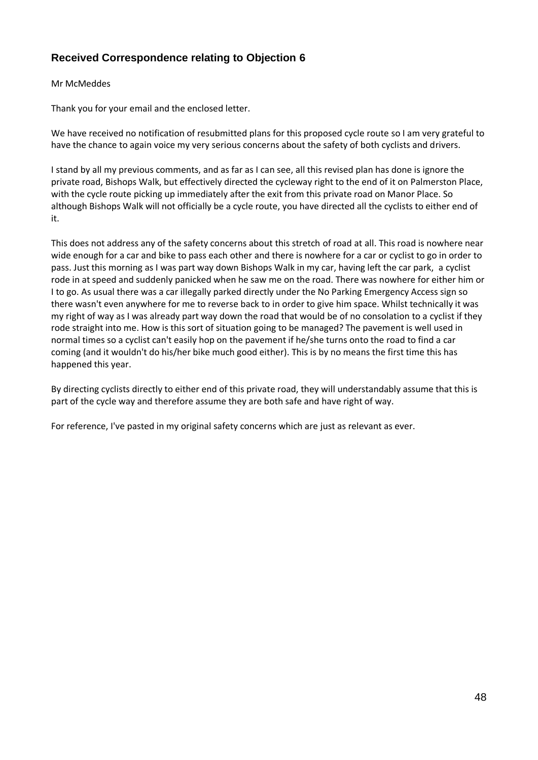#### **Received Correspondence relating to Objection 6**

#### Mr McMeddes

Thank you for your email and the enclosed letter.

We have received no notification of resubmitted plans for this proposed cycle route so I am very grateful to have the chance to again voice my very serious concerns about the safety of both cyclists and drivers.

I stand by all my previous comments, and as far as I can see, all this revised plan has done is ignore the private road, Bishops Walk, but effectively directed the cycleway right to the end of it on Palmerston Place, with the cycle route picking up immediately after the exit from this private road on Manor Place. So although Bishops Walk will not officially be a cycle route, you have directed all the cyclists to either end of it.

This does not address any of the safety concerns about this stretch of road at all. This road is nowhere near wide enough for a car and bike to pass each other and there is nowhere for a car or cyclist to go in order to pass. Just this morning as I was part way down Bishops Walk in my car, having left the car park, a cyclist rode in at speed and suddenly panicked when he saw me on the road. There was nowhere for either him or I to go. As usual there was a car illegally parked directly under the No Parking Emergency Access sign so there wasn't even anywhere for me to reverse back to in order to give him space. Whilst technically it was my right of way as I was already part way down the road that would be of no consolation to a cyclist if they rode straight into me. How is this sort of situation going to be managed? The pavement is well used in normal times so a cyclist can't easily hop on the pavement if he/she turns onto the road to find a car coming (and it wouldn't do his/her bike much good either). This is by no means the first time this has happened this year.

By directing cyclists directly to either end of this private road, they will understandably assume that this is part of the cycle way and therefore assume they are both safe and have right of way.

For reference, I've pasted in my original safety concerns which are just as relevant as ever.